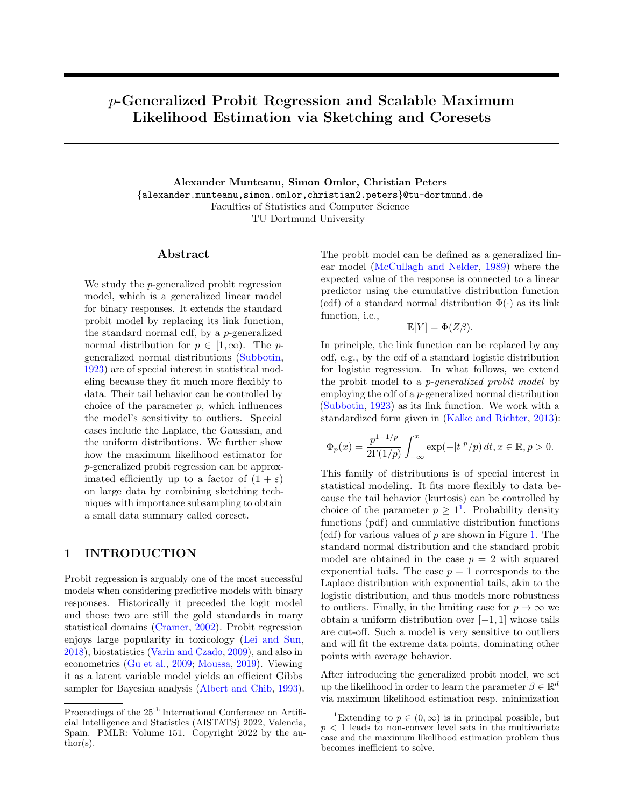# p-Generalized Probit Regression and Scalable Maximum Likelihood Estimation via Sketching and Coresets

Alexander Munteanu, Simon Omlor, Christian Peters {alexander.munteanu,simon.omlor,christian2.peters}@tu-dortmund.de Faculties of Statistics and Computer Science TU Dortmund University

#### Abstract

We study the *p*-generalized probit regression model, which is a generalized linear model for binary responses. It extends the standard probit model by replacing its link function, the standard normal cdf, by a p-generalized normal distribution for  $p \in [1,\infty)$ . The pgeneralized normal distributions [\(Subbotin,](#page-10-0) [1923\)](#page-10-0) are of special interest in statistical modeling because they fit much more flexibly to data. Their tail behavior can be controlled by choice of the parameter  $p$ , which influences the model's sensitivity to outliers. Special cases include the Laplace, the Gaussian, and the uniform distributions. We further show how the maximum likelihood estimator for p-generalized probit regression can be approximated efficiently up to a factor of  $(1 + \varepsilon)$ on large data by combining sketching techniques with importance subsampling to obtain a small data summary called coreset.

### 1 INTRODUCTION

Probit regression is arguably one of the most successful models when considering predictive models with binary responses. Historically it preceded the logit model and those two are still the gold standards in many statistical domains [\(Cramer,](#page-9-0) [2002\)](#page-9-0). Probit regression enjoys large popularity in toxicology [\(Lei and Sun,](#page-10-1) [2018\)](#page-10-1), biostatistics [\(Varin and Czado,](#page-10-2) [2009\)](#page-10-2), and also in econometrics [\(Gu et al.,](#page-9-1) [2009;](#page-9-1) [Moussa,](#page-10-3) [2019\)](#page-10-3). Viewing it as a latent variable model yields an efficient Gibbs sampler for Bayesian analysis [\(Albert and Chib,](#page-9-2) [1993\)](#page-9-2). The probit model can be defined as a generalized linear model [\(McCullagh and Nelder,](#page-10-4) [1989\)](#page-10-4) where the expected value of the response is connected to a linear predictor using the cumulative distribution function (cdf) of a standard normal distribution  $\Phi(\cdot)$  as its link function, i.e.,

$$
\mathbb{E}[Y] = \Phi(Z\beta).
$$

In principle, the link function can be replaced by any cdf, e.g., by the cdf of a standard logistic distribution for logistic regression. In what follows, we extend the probit model to a p-generalized probit model by employing the cdf of a p-generalized normal distribution [\(Subbotin,](#page-10-0) [1923\)](#page-10-0) as its link function. We work with a standardized form given in [\(Kalke and Richter,](#page-10-5) [2013\)](#page-10-5):

$$
\Phi_p(x) = \frac{p^{1-1/p}}{2\Gamma(1/p)} \int_{-\infty}^x \exp(-|t|^p/p) \, dt, x \in \mathbb{R}, p > 0.
$$

This family of distributions is of special interest in statistical modeling. It fits more flexibly to data because the tail behavior (kurtosis) can be controlled by choice of the parameter  $p \geq 1^1$  $p \geq 1^1$  $p \geq 1^1$ . Probability density functions (pdf) and cumulative distribution functions (cdf) for various values of  $p$  are shown in Figure [1.](#page-1-0) The standard normal distribution and the standard probit model are obtained in the case  $p = 2$  with squared exponential tails. The case  $p = 1$  corresponds to the Laplace distribution with exponential tails, akin to the logistic distribution, and thus models more robustness to outliers. Finally, in the limiting case for  $p \to \infty$  we obtain a uniform distribution over  $[-1, 1]$  whose tails are cut-off. Such a model is very sensitive to outliers and will fit the extreme data points, dominating other points with average behavior.

After introducing the generalized probit model, we set up the likelihood in order to learn the parameter  $\beta \in \mathbb{R}^d$ via maximum likelihood estimation resp. minimization

Proceedings of the  $25<sup>th</sup>$  International Conference on Artificial Intelligence and Statistics (AISTATS) 2022, Valencia, Spain. PMLR: Volume 151. Copyright 2022 by the au- $\text{thor}(s)$ .

<span id="page-0-0"></span><sup>&</sup>lt;sup>1</sup>Extending to  $p \in (0, \infty)$  is in principal possible, but  $p < 1$  leads to non-convex level sets in the multivariate case and the maximum likelihood estimation problem thus becomes inefficient to solve.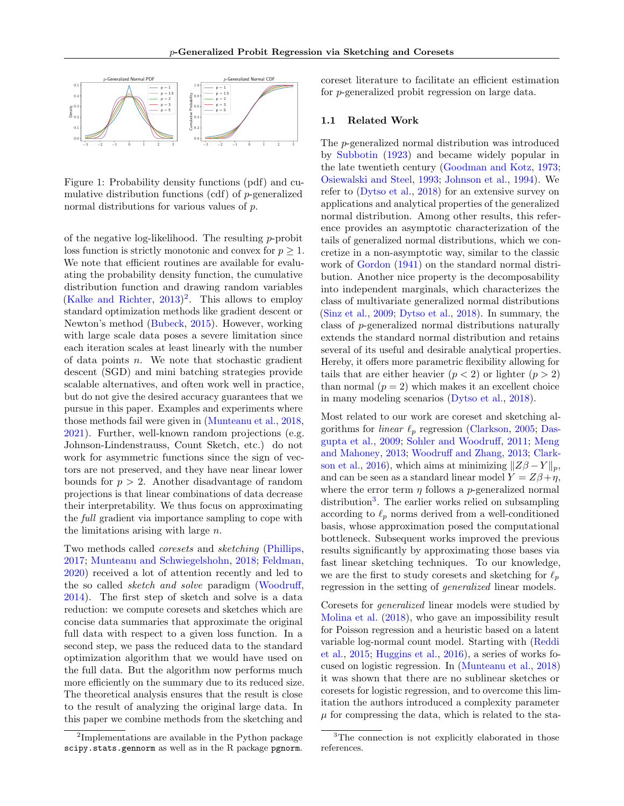

<span id="page-1-0"></span>Figure 1: Probability density functions (pdf) and cumulative distribution functions  $(cdf)$  of *p*-generalized normal distributions for various values of p.

of the negative log-likelihood. The resulting p-probit loss function is strictly monotonic and convex for  $p \geq 1$ . We note that efficient routines are available for evaluating the probability density function, the cumulative distribution function and drawing random variables [\(Kalke and Richter,](#page-10-5)  $2013$  $2013$ )<sup>2</sup>. This allows to employ standard optimization methods like gradient descent or Newton's method [\(Bubeck,](#page-9-3) [2015\)](#page-9-3). However, working with large scale data poses a severe limitation since each iteration scales at least linearly with the number of data points  $n$ . We note that stochastic gradient descent (SGD) and mini batching strategies provide scalable alternatives, and often work well in practice, but do not give the desired accuracy guarantees that we pursue in this paper. Examples and experiments where those methods fail were given in [\(Munteanu et al.,](#page-10-6) [2018,](#page-10-6) [2021\)](#page-10-7). Further, well-known random projections (e.g. Johnson-Lindenstrauss, Count Sketch, etc.) do not work for asymmetric functions since the sign of vectors are not preserved, and they have near linear lower bounds for  $p > 2$ . Another disadvantage of random projections is that linear combinations of data decrease their interpretability. We thus focus on approximating the full gradient via importance sampling to cope with the limitations arising with large  $n$ .

Two methods called coresets and sketching [\(Phillips,](#page-10-8) [2017;](#page-10-8) [Munteanu and Schwiegelshohn,](#page-10-9) [2018;](#page-10-9) [Feldman,](#page-9-4) [2020\)](#page-9-4) received a lot of attention recently and led to the so called *sketch and solve* paradigm [\(Woodruff,](#page-10-10) [2014\)](#page-10-10). The first step of sketch and solve is a data reduction: we compute coresets and sketches which are concise data summaries that approximate the original full data with respect to a given loss function. In a second step, we pass the reduced data to the standard optimization algorithm that we would have used on the full data. But the algorithm now performs much more efficiently on the summary due to its reduced size. The theoretical analysis ensures that the result is close to the result of analyzing the original large data. In this paper we combine methods from the sketching and coreset literature to facilitate an efficient estimation for p-generalized probit regression on large data.

#### 1.1 Related Work

The p-generalized normal distribution was introduced by [Subbotin](#page-10-0) [\(1923\)](#page-10-0) and became widely popular in the late twentieth century [\(Goodman and Kotz,](#page-9-5) [1973;](#page-9-5) [Osiewalski and Steel,](#page-10-11) [1993;](#page-10-11) [Johnson et al.,](#page-9-6) [1994\)](#page-9-6). We refer to [\(Dytso et al.,](#page-9-7) [2018\)](#page-9-7) for an extensive survey on applications and analytical properties of the generalized normal distribution. Among other results, this reference provides an asymptotic characterization of the tails of generalized normal distributions, which we concretize in a non-asymptotic way, similar to the classic work of [Gordon](#page-9-8) [\(1941\)](#page-9-8) on the standard normal distribution. Another nice property is the decomposability into independent marginals, which characterizes the class of multivariate generalized normal distributions [\(Sinz et al.,](#page-10-12) [2009;](#page-10-12) [Dytso et al.,](#page-9-7) [2018\)](#page-9-7). In summary, the class of p-generalized normal distributions naturally extends the standard normal distribution and retains several of its useful and desirable analytical properties. Hereby, it offers more parametric flexibility allowing for tails that are either heavier  $(p < 2)$  or lighter  $(p > 2)$ than normal  $(p = 2)$  which makes it an excellent choice in many modeling scenarios [\(Dytso et al.,](#page-9-7) [2018\)](#page-9-7).

Most related to our work are coreset and sketching algorithms for *linear*  $\ell_p$  regression [\(Clarkson,](#page-9-9) [2005;](#page-9-9) [Das](#page-9-10)[gupta et al.,](#page-9-10) [2009;](#page-9-10) [Sohler and Woodruff,](#page-10-13) [2011;](#page-10-13) [Meng](#page-10-14) [and Mahoney,](#page-10-14) [2013;](#page-10-14) [Woodruff and Zhang,](#page-10-15) [2013;](#page-10-15) [Clark](#page-9-11)[son et al.,](#page-9-11) [2016\)](#page-9-11), which aims at minimizing  $||Z\beta - Y||_p$ , and can be seen as a standard linear model  $Y = Z\beta + \eta$ , where the error term  $\eta$  follows a *p*-generalized normal distribution<sup>[3](#page-1-2)</sup>. The earlier works relied on subsampling according to  $\ell_p$  norms derived from a well-conditioned basis, whose approximation posed the computational bottleneck. Subsequent works improved the previous results significantly by approximating those bases via fast linear sketching techniques. To our knowledge, we are the first to study coresets and sketching for  $\ell_p$ regression in the setting of generalized linear models.

Coresets for generalized linear models were studied by [Molina et al.](#page-10-16) [\(2018\)](#page-10-16), who gave an impossibility result for Poisson regression and a heuristic based on a latent variable log-normal count model. Starting with [\(Reddi](#page-10-17) [et al.,](#page-10-17) [2015;](#page-10-17) [Huggins et al.,](#page-9-12) [2016\)](#page-9-12), a series of works focused on logistic regression. In [\(Munteanu et al.,](#page-10-6) [2018\)](#page-10-6) it was shown that there are no sublinear sketches or coresets for logistic regression, and to overcome this limitation the authors introduced a complexity parameter  $\mu$  for compressing the data, which is related to the sta-

<span id="page-1-1"></span><sup>&</sup>lt;sup>2</sup>Implementations are available in the Python package scipy.stats.gennorm as well as in the R package pgnorm.

<span id="page-1-2"></span><sup>3</sup>The connection is not explicitly elaborated in those references.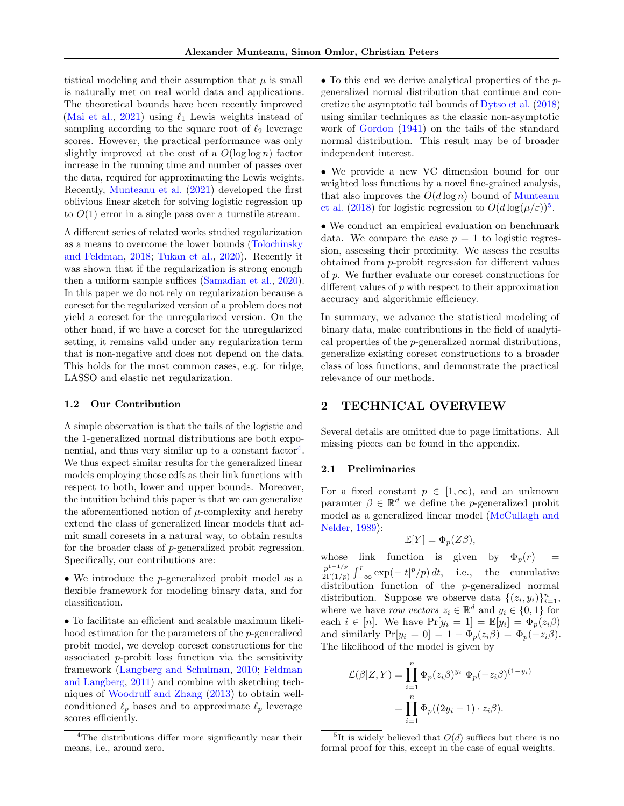tistical modeling and their assumption that  $\mu$  is small is naturally met on real world data and applications. The theoretical bounds have been recently improved [\(Mai et al.,](#page-10-18) [2021\)](#page-10-18) using  $\ell_1$  Lewis weights instead of sampling according to the square root of  $\ell_2$  leverage scores. However, the practical performance was only slightly improved at the cost of a  $O(\log \log n)$  factor increase in the running time and number of passes over the data, required for approximating the Lewis weights. Recently, [Munteanu et al.](#page-10-7) [\(2021\)](#page-10-7) developed the first oblivious linear sketch for solving logistic regression up to  $O(1)$  error in a single pass over a turnstile stream.

A different series of related works studied regularization as a means to overcome the lower bounds [\(Tolochinsky](#page-10-19) [and Feldman,](#page-10-19) [2018;](#page-10-19) [Tukan et al.,](#page-10-20) [2020\)](#page-10-20). Recently it was shown that if the regularization is strong enough then a uniform sample suffices [\(Samadian et al.,](#page-10-21) [2020\)](#page-10-21). In this paper we do not rely on regularization because a coreset for the regularized version of a problem does not yield a coreset for the unregularized version. On the other hand, if we have a coreset for the unregularized setting, it remains valid under any regularization term that is non-negative and does not depend on the data. This holds for the most common cases, e.g. for ridge, LASSO and elastic net regularization.

#### 1.2 Our Contribution

A simple observation is that the tails of the logistic and the 1-generalized normal distributions are both exponential, and thus very similar up to a constant  $factor<sup>4</sup>$  $factor<sup>4</sup>$  $factor<sup>4</sup>$ . We thus expect similar results for the generalized linear models employing those cdfs as their link functions with respect to both, lower and upper bounds. Moreover, the intuition behind this paper is that we can generalize the aforementioned notion of  $\mu$ -complexity and hereby extend the class of generalized linear models that admit small coresets in a natural way, to obtain results for the broader class of p-generalized probit regression. Specifically, our contributions are:

• We introduce the p-generalized probit model as a flexible framework for modeling binary data, and for classification.

• To facilitate an efficient and scalable maximum likelihood estimation for the parameters of the p-generalized probit model, we develop coreset constructions for the associated p-probit loss function via the sensitivity framework [\(Langberg and Schulman,](#page-10-22) [2010;](#page-10-22) [Feldman](#page-9-13) [and Langberg,](#page-9-13) [2011\)](#page-9-13) and combine with sketching techniques of [Woodruff and Zhang](#page-10-15) [\(2013\)](#page-10-15) to obtain wellconditioned  $\ell_p$  bases and to approximate  $\ell_p$  leverage scores efficiently.

• To this end we derive analytical properties of the pgeneralized normal distribution that continue and concretize the asymptotic tail bounds of [Dytso et al.](#page-9-7) [\(2018\)](#page-9-7) using similar techniques as the classic non-asymptotic work of [Gordon](#page-9-8) [\(1941\)](#page-9-8) on the tails of the standard normal distribution. This result may be of broader independent interest.

• We provide a new VC dimension bound for our weighted loss functions by a novel fine-grained analysis, that also improves the  $O(d \log n)$  bound of [Munteanu](#page-10-6) [et al.](#page-10-6) [\(2018\)](#page-10-6) for logistic regression to  $O(d \log(\mu/\varepsilon))^5$  $O(d \log(\mu/\varepsilon))^5$ .

• We conduct an empirical evaluation on benchmark data. We compare the case  $p = 1$  to logistic regression, assessing their proximity. We assess the results obtained from p-probit regression for different values of p. We further evaluate our coreset constructions for different values of p with respect to their approximation accuracy and algorithmic efficiency.

In summary, we advance the statistical modeling of binary data, make contributions in the field of analytical properties of the p-generalized normal distributions, generalize existing coreset constructions to a broader class of loss functions, and demonstrate the practical relevance of our methods.

### 2 TECHNICAL OVERVIEW

Several details are omitted due to page limitations. All missing pieces can be found in the appendix.

#### 2.1 Preliminaries

For a fixed constant  $p \in [1,\infty)$ , and an unknown paramter  $\beta \in \mathbb{R}^d$  we define the *p*-generalized probit model as a generalized linear model [\(McCullagh and](#page-10-4) [Nelder,](#page-10-4) [1989\)](#page-10-4):

$$
\mathbb{E}[Y] = \Phi_p(Z\beta),
$$

whose link function is given by  $\Phi_p(r)$  $p^{1-1/p}$  $\frac{p^{1-1/p}}{2\Gamma(1/p)} \int_{-\infty}^{r} \exp(-|t|^p/p) dt$ , i.e., the cumulative distribution function of the p-generalized normal distribution. Suppose we observe data  $\{(z_i, y_i)\}_{i=1}^n$ , where we have *row vectors*  $z_i \in \mathbb{R}^d$  and  $y_i \in \{0, 1\}$  for each  $i \in [n]$ . We have  $Pr[y_i = 1] = \mathbb{E}[y_i] = \Phi_p(z_i;\beta)$ and similarly  $Pr[y_i = 0] = 1 - \Phi_p(z_i \beta) = \Phi_p(-z_i \beta)$ . The likelihood of the model is given by

$$
\mathcal{L}(\beta|Z, Y) = \prod_{i=1}^{n} \Phi_p(z_i \beta)^{y_i} \Phi_p(-z_i \beta)^{(1-y_i)}
$$

$$
= \prod_{i=1}^{n} \Phi_p((2y_i - 1) \cdot z_i \beta).
$$

<span id="page-2-0"></span><sup>&</sup>lt;sup>4</sup>The distributions differ more significantly near their means, i.e., around zero.

<span id="page-2-1"></span><sup>&</sup>lt;sup>5</sup>It is widely believed that  $O(d)$  suffices but there is no formal proof for this, except in the case of equal weights.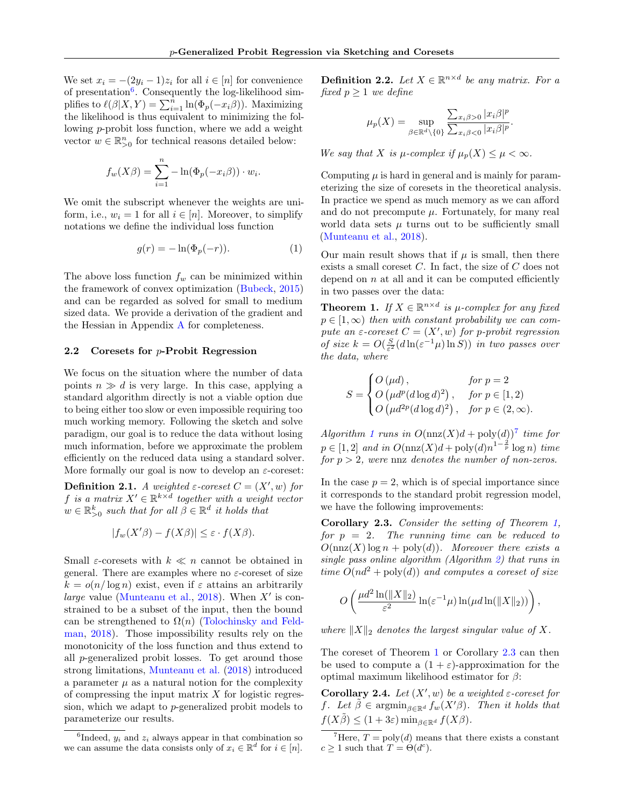We set  $x_i = -(2y_i - 1)z_i$  for all  $i \in [n]$  for convenience of presentation<sup>[6](#page-3-0)</sup>. Consequently the log-likelihood simplifies to  $\ell(\beta|X, Y) = \sum_{i=1}^{n} \ln(\Phi_p(-x_i\beta))$ . Maximizing the likelihood is thus equivalent to minimizing the following p-probit loss function, where we add a weight vector  $w \in \mathbb{R}_{>0}^n$  for technical reasons detailed below:

$$
f_w(X\beta) = \sum_{i=1}^n -\ln(\Phi_p(-x_i\beta)) \cdot w_i.
$$

We omit the subscript whenever the weights are uniform, i.e.,  $w_i = 1$  for all  $i \in [n]$ . Moreover, to simplify notations we define the individual loss function

$$
g(r) = -\ln(\Phi_p(-r)).\tag{1}
$$

The above loss function  $f_w$  can be minimized within the framework of convex optimization [\(Bubeck,](#page-9-3) [2015\)](#page-9-3) and can be regarded as solved for small to medium sized data. We provide a derivation of the gradient and the Hessian in Appendix [A](#page-11-0) for completeness.

#### 2.2 Coresets for  $p$ -Probit Regression

We focus on the situation where the number of data points  $n \gg d$  is very large. In this case, applying a standard algorithm directly is not a viable option due to being either too slow or even impossible requiring too much working memory. Following the sketch and solve paradigm, our goal is to reduce the data without losing much information, before we approximate the problem efficiently on the reduced data using a standard solver. More formally our goal is now to develop an  $\varepsilon$ -coreset:

<span id="page-3-6"></span>**Definition 2.1.** A weighted  $\varepsilon$ -coreset  $C = (X', w)$  for f is a matrix  $X' \in \mathbb{R}^{k \times d}$  together with a weight vector  $w \in \mathbb{R}_{\geq 0}^k$  such that for all  $\beta \in \mathbb{R}^d$  it holds that

$$
|f_w(X'\beta) - f(X\beta)| \le \varepsilon \cdot f(X\beta).
$$

Small  $\varepsilon$ -coresets with  $k \ll n$  cannot be obtained in general. There are examples where no  $\varepsilon$ -coreset of size  $k = o(n/\log n)$  exist, even if  $\varepsilon$  attains an arbitrarily large value [\(Munteanu et al.,](#page-10-6) [2018\)](#page-10-6). When  $X'$  is constrained to be a subset of the input, then the bound can be strengthened to  $\Omega(n)$  [\(Tolochinsky and Feld](#page-10-19)[man,](#page-10-19) [2018\)](#page-10-19). Those impossibility results rely on the monotonicity of the loss function and thus extend to all p-generalized probit losses. To get around those strong limitations, [Munteanu et al.](#page-10-6) [\(2018\)](#page-10-6) introduced a parameter  $\mu$  as a natural notion for the complexity of compressing the input matrix  $X$  for logistic regression, which we adapt to p-generalized probit models to parameterize our results.

**Definition 2.2.** Let  $X \in \mathbb{R}^{n \times d}$  be any matrix. For a fixed  $p \geq 1$  we define

$$
\mu_p(X) = \sup_{\beta \in \mathbb{R}^d \setminus \{0\}} \frac{\sum_{x_i \beta > 0} |x_i \beta|^p}{\sum_{x_i \beta < 0} |x_i \beta|^p}.
$$

We say that X is  $\mu$ -complex if  $\mu_p(X) \leq \mu < \infty$ .

Computing  $\mu$  is hard in general and is mainly for parameterizing the size of coresets in the theoretical analysis. In practice we spend as much memory as we can afford and do not precompute  $\mu$ . Fortunately, for many real world data sets  $\mu$  turns out to be sufficiently small [\(Munteanu et al.,](#page-10-6) [2018\)](#page-10-6).

<span id="page-3-4"></span>Our main result shows that if  $\mu$  is small, then there exists a small coreset  $C$ . In fact, the size of  $C$  does not depend on  $n$  at all and it can be computed efficiently in two passes over the data:

<span id="page-3-2"></span>**Theorem 1.** If  $X \in \mathbb{R}^{n \times d}$  is  $\mu$ -complex for any fixed  $p \in [1,\infty)$  then with constant probability we can compute an  $\varepsilon$ -coreset  $C = (X', w)$  for p-probit regression of size  $k = O(\frac{S}{\varepsilon^2}(d\ln(\varepsilon^{-1}\mu)\ln S))$  in two passes over the data, where

$$
S = \begin{cases} O(\mu d), & \text{for } p = 2 \\ O(\mu d^p (d \log d)^2), & \text{for } p \in [1, 2) \\ O(\mu d^{2p} (d \log d)^2), & \text{for } p \in (2, \infty). \end{cases}
$$

Algorithm [1](#page-23-0) runs in  $O(\text{nnz}(X)d + \text{poly}(d))^7$  $O(\text{nnz}(X)d + \text{poly}(d))^7$  time for  $p \in [1,2]$  and in  $O(\text{nnz}(X))d + \text{poly}(d)n^{1-\frac{2}{p}} \log n)$  time for  $p > 2$ , were nnz denotes the number of non-zeros.

In the case  $p = 2$ , which is of special importance since it corresponds to the standard probit regression model, we have the following improvements:

<span id="page-3-3"></span>Corollary 2.3. Consider the setting of Theorem [1,](#page-3-2) for  $p = 2$ . The running time can be reduced to  $O(\max(X) \log n + \text{poly}(d)).$  Moreover there exists a single pass online algorithm (Algorithm [2\)](#page-24-0) that runs in time  $O(nd^2 + \text{poly}(d))$  and computes a coreset of size

$$
O\left(\frac{\mu d^2 \ln(\|X\|_2)}{\varepsilon^2} \ln(\varepsilon^{-1} \mu) \ln(\mu d \ln(\|X\|_2))\right),\,
$$

where  $||X||_2$  denotes the largest singular value of X.

The coreset of Theorem [1](#page-3-2) or Corollary [2.3](#page-3-3) can then be used to compute a  $(1 + \varepsilon)$ -approximation for the optimal maximum likelihood estimator for  $\beta$ :

<span id="page-3-5"></span>Corollary 2.4. Let  $(X', w)$  be a weighted  $\varepsilon$ -coreset for f. Let  $\hat{\beta} \in \operatorname{argmin}_{\beta \in \mathbb{R}^d} f_w(X' \beta)$ . Then it holds that  $f(X\tilde{\beta}) \leq (1+3\varepsilon) \min_{\beta \in \mathbb{R}^d} f(X\beta).$ 

<span id="page-3-1"></span><sup>7</sup>Here,  $T = \text{poly}(d)$  means that there exists a constant  $c \geq 1$  such that  $T = \Theta(d^c)$ .

<span id="page-3-0"></span><sup>&</sup>lt;sup>6</sup>Indeed,  $y_i$  and  $z_i$  always appear in that combination so we can assume the data consists only of  $x_i \in \mathbb{R}^d$  for  $i \in [n]$ .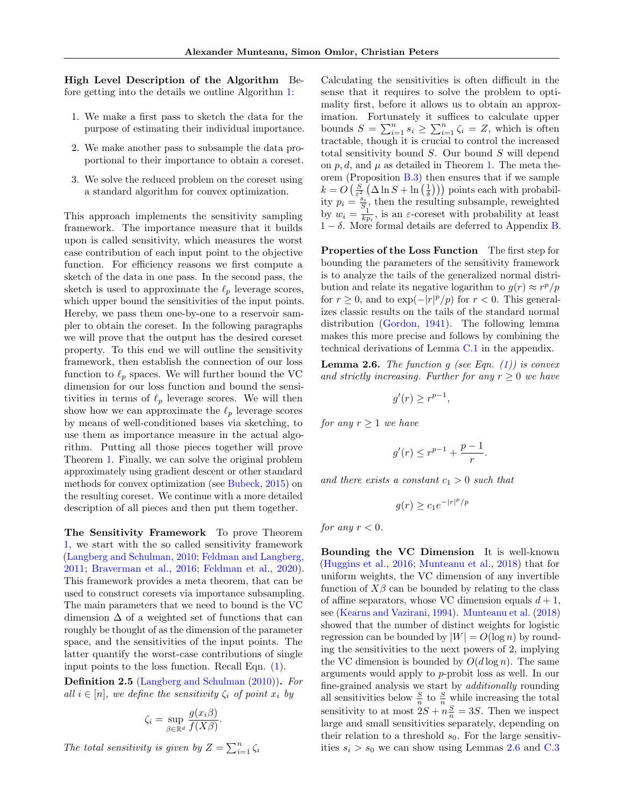High Level Description of the Algorithm Before getting into the details we outline Algorithm [1:](#page-23-0)

- 1. We make a first pass to sketch the data for the purpose of estimating their individual importance.
- 2. We make another pass to subsample the data proportional to their importance to obtain a coreset.
- 3. We solve the reduced problem on the coreset using a standard algorithm for convex optimization.

This approach implements the sensitivity sampling framework. The importance measure that it builds upon is called sensitivity, which measures the worst case contribution of each input point to the objective function. For efficiency reasons we first compute a sketch of the data in one pass. In the second pass, the sketch is used to approximate the  $\ell_p$  leverage scores, which upper bound the sensitivities of the input points. Hereby, we pass them one-by-one to a reservoir sampler to obtain the coreset. In the following paragraphs we will prove that the output has the desired coreset property. To this end we will outline the sensitivity framework, then establish the connection of our loss function to  $\ell_p$  spaces. We will further bound the VC dimension for our loss function and bound the sensitivities in terms of  $\ell_p$  leverage scores. We will then show how we can approximate the  $\ell_p$  leverage scores by means of well-conditioned bases via sketching, to use them as importance measure in the actual algorithm. Putting all those pieces together will prove Theorem [1.](#page-3-2) Finally, we can solve the original problem approximately using gradient descent or other standard methods for convex optimization (see [Bubeck,](#page-9-3) [2015\)](#page-9-3) on the resulting coreset. We continue with a more detailed description of all pieces and then put them together.

The Sensitivity Framework To prove Theorem [1,](#page-3-2) we start with the so called sensitivity framework [\(Langberg and Schulman,](#page-10-22) [2010;](#page-10-22) [Feldman and Langberg,](#page-9-13) [2011;](#page-9-13) [Braverman et al.,](#page-9-14) [2016;](#page-9-14) [Feldman et al.,](#page-9-15) [2020\)](#page-9-15). This framework provides a meta theorem, that can be used to construct coresets via importance subsampling. The main parameters that we need to bound is the VC dimension  $\Delta$  of a weighted set of functions that can roughly be thought of as the dimension of the parameter space, and the sensitivities of the input points. The latter quantify the worst-case contributions of single input points to the loss function. Recall Eqn. [\(1\)](#page-3-4).

<span id="page-4-1"></span>Definition 2.5 [\(Langberg and Schulman](#page-10-22) [\(2010\)](#page-10-22)). For all  $i \in [n]$ , we define the sensitivity  $\zeta_i$  of point  $x_i$  by

$$
\zeta_i = \sup_{\beta \in \mathbb{R}^d} \frac{g(x_i \beta)}{f(X\beta)}.
$$

The total sensitivity is given by  $Z = \sum_{i=1}^{n} \zeta_i$ 

Calculating the sensitivities is often difficult in the sense that it requires to solve the problem to optimality first, before it allows us to obtain an approximation. Fortunately it suffices to calculate upper bounds  $S = \sum_{i=1}^{n} s_i \ge \sum_{i=1}^{n} \zeta_i = Z$ , which is often tractable, though it is crucial to control the increased total sensitivity bound S. Our bound S will depend on p, d, and  $\mu$  as detailed in Theorem [1.](#page-3-2) The meta theorem (Proposition  $B.3$ ) then ensures that if we sample  $k = O\left(\frac{S}{\varepsilon^2} \left(\Delta \ln S + \ln\left(\frac{1}{\delta}\right)\right)\right)$  points each with probability  $p_i = \frac{s_i}{S_i}$ , then the resulting subsample, reweighted by  $w_i = \frac{z_1}{kp_i}$ , is an  $\varepsilon$ -coreset with probability at least  $1 - \delta$ . More formal details are deferred to Appendix [B.](#page-12-1)

Properties of the Loss Function The first step for bounding the parameters of the sensitivity framework is to analyze the tails of the generalized normal distribution and relate its negative logarithm to  $g(r) \approx r^p/p$ for  $r \geq 0$ , and to  $\exp(-|r|^p/p)$  for  $r < 0$ . This generalizes classic results on the tails of the standard normal distribution [\(Gordon,](#page-9-8) [1941\)](#page-9-8). The following lemma makes this more precise and follows by combining the technical derivations of Lemma [C.1](#page-13-0) in the appendix.

<span id="page-4-0"></span>**Lemma 2.6.** The function g (see Eqn.  $(1)$ ) is convex and strictly increasing. Further for any  $r > 0$  we have

$$
g'(r) \ge r^{p-1},
$$

for any  $r \geq 1$  we have

$$
g'(r) \le r^{p-1} + \frac{p-1}{r}.
$$

and there exists a constant  $c_1 > 0$  such that

 $g(r) \ge c_1 e^{-|r|^p/p}$ 

for any  $r < 0$ .

Bounding the VC Dimension It is well-known [\(Huggins et al.,](#page-9-12) [2016;](#page-9-12) [Munteanu et al.,](#page-10-6) [2018\)](#page-10-6) that for uniform weights, the VC dimension of any invertible function of  $X\beta$  can be bounded by relating to the class of affine separators, whose VC dimension equals  $d+1$ , see [\(Kearns and Vazirani,](#page-10-23) [1994\)](#page-10-23). [Munteanu et al.](#page-10-6) [\(2018\)](#page-10-6) showed that the number of distinct weights for logistic regression can be bounded by  $|W| = O(\log n)$  by rounding the sensitivities to the next powers of 2, implying the VC dimension is bounded by  $O(d \log n)$ . The same arguments would apply to p-probit loss as well. In our fine-grained analysis we start by additionally rounding all sensitivities below  $\frac{S}{n}$  to  $\frac{S}{n}$  while increasing the total sensitivity to at most  $2S + n\frac{S}{n} = 3S$ . Then we inspect large and small sensitivities separately, depending on their relation to a threshold  $s_0$ . For the large sensitivities  $s_i > s_0$  we can show using Lemmas [2.6](#page-4-0) and [C.3](#page-15-0)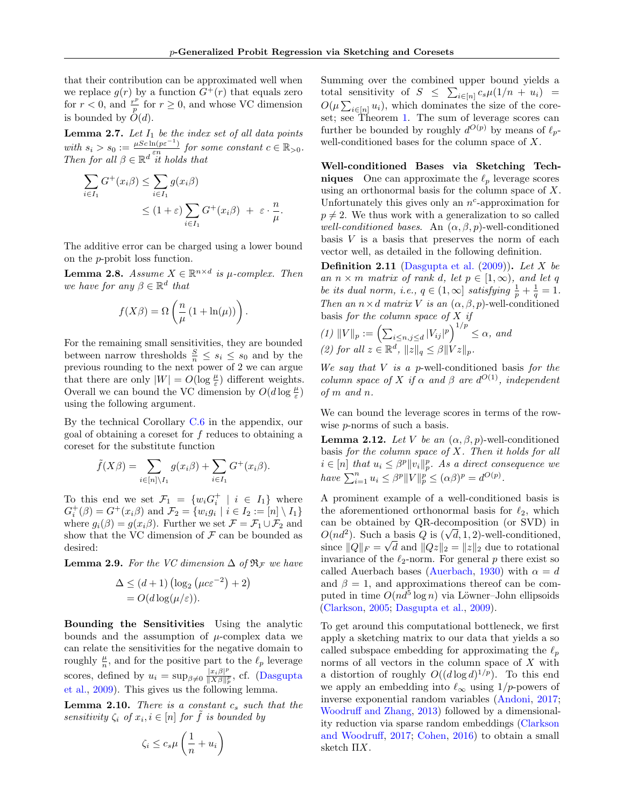that their contribution can be approximated well when we replace  $g(r)$  by a function  $G^+(r)$  that equals zero for  $r < 0$ , and  $\frac{r^p}{n}$  $\frac{r}{p}$  for  $r \geq 0$ , and whose VC dimension is bounded by  $O(d)$ .

<span id="page-5-4"></span>**Lemma 2.7.** Let  $I_1$  be the index set of all data points with  $s_i > s_0 := \frac{\mu Sc \ln(p\varepsilon^{-1})}{\varepsilon n}$  $\frac{\ln(p\varepsilon^{-1})}{\varepsilon n}$  for some constant  $c \in \mathbb{R}_{>0}$ . Then for all  $\beta \in \mathbb{R}^d$  it holds that

$$
\sum_{i \in I_1} G^+(x_i \beta) \leq \sum_{i \in I_1} g(x_i \beta)
$$
  
 
$$
\leq (1 + \varepsilon) \sum_{i \in I_1} G^+(x_i \beta) + \varepsilon \cdot \frac{n}{\mu}.
$$

The additive error can be charged using a lower bound on the p-probit loss function.

<span id="page-5-3"></span>**Lemma 2.8.** Assume  $X \in \mathbb{R}^{n \times d}$  is  $\mu$ -complex. Then we have for any  $\beta \in \mathbb{R}^d$  that

$$
f(X\beta) = \Omega\left(\frac{n}{\mu}\left(1 + \ln(\mu)\right)\right).
$$

For the remaining small sensitivities, they are bounded between narrow thresholds  $\frac{S}{n} \leq s_i \leq s_0$  and by the previous rounding to the next power of 2 we can argue that there are only  $|W| = O(\log \frac{\mu}{\varepsilon})$  different weights. Overall we can bound the VC dimension by  $O(d \log \frac{\mu}{\varepsilon})$ using the following argument.

By the technical Corollary [C.6](#page-17-0) in the appendix, our goal of obtaining a coreset for f reduces to obtaining a coreset for the substitute function

$$
\tilde{f}(X\beta) = \sum_{i \in [n] \setminus I_1} g(x_i\beta) + \sum_{i \in I_1} G^+(x_i\beta).
$$

To this end we set  $\mathcal{F}_1 = \{w_i G_i^+ | i \in I_1\}$  where  $G_i^+(\beta) = G^+(x_i\beta)$  and  $\mathcal{F}_2 = \{w_i g_i \mid i \in I_2 := [n] \setminus I_1\}$ where  $q_i(\beta) = q(x_i\beta)$ . Further we set  $\mathcal{F} = \mathcal{F}_1 \cup \mathcal{F}_2$  and show that the VC dimension of  $\mathcal F$  can be bounded as desired:

<span id="page-5-2"></span>**Lemma 2.9.** For the VC dimension  $\Delta$  of  $\mathfrak{R}_{\mathcal{F}}$  we have

$$
\Delta \le (d+1) \left( \log_2 \left( \mu c \varepsilon^{-2} \right) + 2 \right) = O(d \log(\mu/\varepsilon)).
$$

Bounding the Sensitivities Using the analytic bounds and the assumption of  $\mu$ -complex data we can relate the sensitivities for the negative domain to roughly  $\frac{\mu}{n}$ , and for the positive part to the  $\ell_p$  leverage scores, defined by  $u_i = \sup_{\beta \neq 0} \frac{|x_i \beta|^p}{\|X \beta\|_*^p}$  $\frac{|x_i\rho|^2}{\|X\beta\|_p^p}$ , cf. [\(Dasgupta](#page-9-10) [et al.,](#page-9-10) [2009\)](#page-9-10). This gives us the following lemma.

<span id="page-5-1"></span>**Lemma 2.10.** There is a constant  $c_s$  such that the sensitivity  $\zeta_i$  of  $x_i, i \in [n]$  for  $\tilde{f}$  is bounded by

$$
\zeta_i \le c_s \mu \left(\frac{1}{n} + u_i\right)
$$

Summing over the combined upper bound yields a total sensitivity of  $S \leq \sum_{i \in [n]} c_s \mu(1/n + u_i) =$  $O(\mu \sum_{i \in [n]} u_i)$ , which dominates the size of the coreset; see Theorem [1.](#page-3-2) The sum of leverage scores can further be bounded by roughly  $d^{O(p)}$  by means of  $\ell_p$ well-conditioned bases for the column space of X.

Well-conditioned Bases via Sketching Techniques One can approximate the  $\ell_p$  leverage scores using an orthonormal basis for the column space of X. Unfortunately this gives only an  $n^c$ -approximation for  $p \neq 2$ . We thus work with a generalization to so called well-conditioned bases. An  $(\alpha, \beta, p)$ -well-conditioned basis  $V$  is a basis that preserves the norm of each vector well, as detailed in the following definition.

<span id="page-5-5"></span>**Definition 2.11** [\(Dasgupta et al.](#page-9-10)  $(2009)$ ). Let X be an  $n \times m$  matrix of rank d, let  $p \in [1, \infty)$ , and let q be its dual norm, i.e.,  $q \in (1,\infty]$  satisfying  $\frac{1}{p} + \frac{1}{q} = 1$ . Then an  $n \times d$  matrix V is an  $(\alpha, \beta, p)$ -well-conditioned basis for the column space of  $X$  if

$$
(1) \t||V||_p := \left(\sum_{i \le n, j \le d} |V_{ij}|^p\right)^{1/p} \le \alpha, \text{ and}
$$
  

$$
(2) \text{ for all } z \in \mathbb{R}^d, \t||z||_q \le \beta ||Vz||_p.
$$

We say that  $V$  is a p-well-conditioned basis for the column space of X if  $\alpha$  and  $\beta$  are  $d^{O(1)}$ , independent of m and n.

We can bound the leverage scores in terms of the rowwise p-norms of such a basis.

<span id="page-5-0"></span>**Lemma 2.12.** Let V be an  $(\alpha, \beta, p)$ -well-conditioned basis for the column space of  $X$ . Then it holds for all  $i \in [n]$  that  $u_i \leq \beta^p ||v_i||_p^p$ . As a direct consequence we have  $\sum_{i=1}^{n} u_i \leq \beta^p ||V||_p^p \leq (\alpha \beta)^p = d^{O(p)}$ .

A prominent example of a well-conditioned basis is the aforementioned orthonormal basis for  $\ell_2$ , which can be obtained by QR-decomposition (or SVD) in  $O(nd^2)$ . Such a basis Q is  $(\sqrt{d}, 1, 2)$ -well-conditioned, since  $||Q||_F = \sqrt{d}$  and  $||Qz||_2 = ||z||_2$  due to rotational invariance of the  $\ell_2$ -norm. For general p there exist so called Auerbach bases [\(Auerbach,](#page-9-16) [1930\)](#page-9-16) with  $\alpha = d$ and  $\beta = 1$ , and approximations thereof can be computed in time  $O(nd^5 \log n)$  via Löwner–John ellipsoids [\(Clarkson,](#page-9-9) [2005;](#page-9-9) [Dasgupta et al.,](#page-9-10) [2009\)](#page-9-10).

To get around this computational bottleneck, we first apply a sketching matrix to our data that yields a so called subspace embedding for approximating the  $\ell_p$ norms of all vectors in the column space of  $X$  with a distortion of roughly  $O((d \log d)^{1/p})$ . To this end we apply an embedding into  $\ell_{\infty}$  using 1/p-powers of inverse exponential random variables [\(Andoni,](#page-9-17) [2017;](#page-9-17) [Woodruff and Zhang,](#page-10-15) [2013\)](#page-10-15) followed by a dimensionality reduction via sparse random embeddings [\(Clarkson](#page-9-18) [and Woodruff,](#page-9-18) [2017;](#page-9-18) [Cohen,](#page-9-19) [2016\)](#page-9-19) to obtain a small sketch ΠX.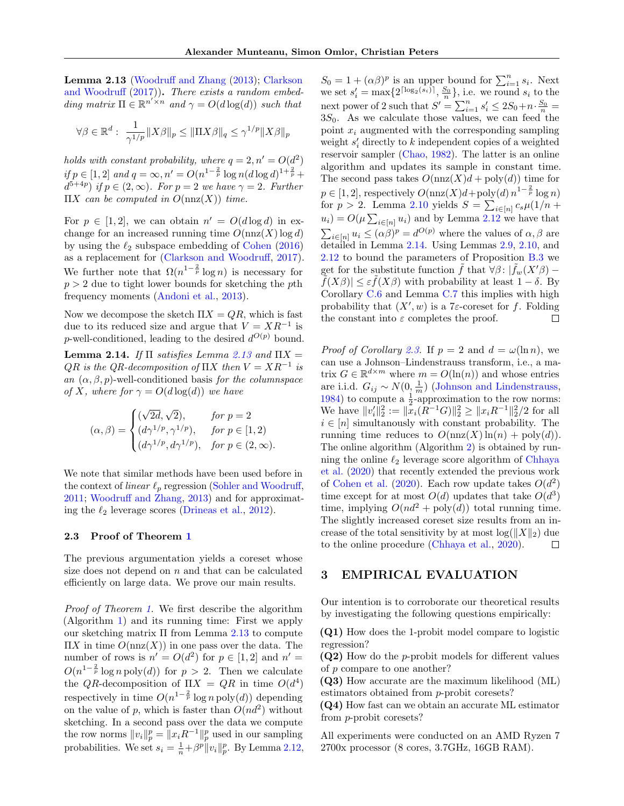<span id="page-6-0"></span>Lemma 2.13 [\(Woodruff and Zhang](#page-10-15) [\(2013\)](#page-10-15); [Clarkson](#page-9-18) [and Woodruff](#page-9-18) [\(2017\)](#page-9-18)). There exists a random embedding matrix  $\Pi \in \mathbb{R}^{n' \times n}$  and  $\gamma = O(d \log(d))$  such that

$$
\forall \beta \in \mathbb{R}^d: \ \frac{1}{\gamma^{1/p}} \|X\beta\|_p \le \|\Pi X\beta\|_q \le \gamma^{1/p} \|X\beta\|_p
$$

holds with constant probability, where  $q = 2, n' = O(d^2)$ if  $p \in [1, 2]$  and  $q = \infty$ ,  $n' = O(n^{1-\frac{2}{p}} \log n (d \log d)^{1+\frac{2}{p}} +$  $d^{5+4p}$ ) if  $p \in (2,\infty)$ . For  $p=2$  we have  $\gamma=2$ . Further ΠX can be computed in  $O(nnz(X))$  time.

For  $p \in [1, 2]$ , we can obtain  $n' = O(d \log d)$  in exchange for an increased running time  $O(nnz(X)\log d)$ by using the  $\ell_2$  subspace embedding of [Cohen](#page-9-19) [\(2016\)](#page-9-19) as a replacement for [\(Clarkson and Woodruff,](#page-9-18) [2017\)](#page-9-18). We further note that  $\Omega(n^{1-\frac{2}{p}} \log n)$  is necessary for  $p > 2$  due to tight lower bounds for sketching the pth frequency moments [\(Andoni et al.,](#page-9-20) [2013\)](#page-9-20).

Now we decompose the sketch  $\Pi X = QR$ , which is fast due to its reduced size and argue that  $V = XR^{-1}$  is p-well-conditioned, leading to the desired  $d^{O(p)}$  bound.

<span id="page-6-1"></span>Lemma 2.14. If  $\Pi$  satisfies Lemma [2.13](#page-6-0) and  $\Pi X =$  $QR$  is the QR-decomposition of  $\Pi X$  then  $V = XR^{-1}$  is an  $(\alpha, \beta, p)$ -well-conditioned basis for the columnspace of X, where for  $\gamma = O(d \log(d))$  we have

$$
(\alpha, \beta) = \begin{cases} (\sqrt{2d}, \sqrt{2}), & \text{for } p = 2\\ (d\gamma^{1/p}, \gamma^{1/p}), & \text{for } p \in [1, 2) \\ (d\gamma^{1/p}, d\gamma^{1/p}), & \text{for } p \in (2, \infty). \end{cases}
$$

We note that similar methods have been used before in the context of *linear*  $\ell_p$  regression [\(Sohler and Woodruff,](#page-10-13) [2011;](#page-10-13) [Woodruff and Zhang,](#page-10-15) [2013\)](#page-10-15) and for approximating the  $\ell_2$  leverage scores [\(Drineas et al.,](#page-9-21) [2012\)](#page-9-21).

#### 2.3 Proof of Theorem [1](#page-3-2)

The previous argumentation yields a coreset whose size does not depend on  $n$  and that can be calculated efficiently on large data. We prove our main results.

Proof of Theorem [1.](#page-3-2) We first describe the algorithm (Algorithm [1\)](#page-23-0) and its running time: First we apply our sketching matrix Π from Lemma [2.13](#page-6-0) to compute  $\Pi X$  in time  $O(\text{nnz}(X))$  in one pass over the data. The number of rows is  $n' = O(d^2)$  for  $p \in [1,2]$  and  $n' =$  $O(n^{1-\frac{2}{p}} \log n \operatorname{poly}(d))$  for  $p > 2$ . Then we calculate the QR-decomposition of  $\Pi X = QR$  in time  $O(d^4)$ respectively in time  $O(n^{1-\frac{2}{p}} \log n \text{ poly}(d))$  depending on the value of p, which is faster than  $O(nd^2)$  without sketching. In a second pass over the data we compute the row norms  $||v_i||_p^p = ||x_iR^{-1}||_p^p$  used in our sampling probabilities. We set  $s_i = \frac{1}{n} + \beta^p ||v_i||_p^p$ . By Lemma [2.12,](#page-5-0)

 $S_0 = 1 + (\alpha \beta)^p$  is an upper bound for  $\sum_{i=1}^n s_i$ . Next we set  $s_i' = \max\{2^{\lceil \log_2(s_i) \rceil}, \frac{S_0}{n}\}\)$ , i.e. we round  $s_i$  to the next power of 2 such that  $S' = \sum_{i=1}^{n} s'_i \le 2S_0 + n \cdot \frac{S_0}{n} =$  $3S_0$ . As we calculate those values, we can feed the point  $x_i$  augmented with the corresponding sampling weight  $s'_{i}$  directly to k independent copies of a weighted reservoir sampler [\(Chao,](#page-9-22) [1982\)](#page-9-22). The latter is an online algorithm and updates its sample in constant time. The second pass takes  $O(nnz(X)d + poly(d))$  time for  $p \in [1, 2]$ , respectively  $O(\max(X)d + \text{poly}(d) n^{1-\frac{2}{p}} \log n)$ for  $p > 2$ . Lemma [2.10](#page-5-1) yields  $S = \sum_{i \in [n]} c_s \mu(1/n +$  $(u_i) = O(\mu \sum_{i \in [n]} u_i)$  and by Lemma [2.12](#page-5-0) we have that  $\sum_{i\in[n]} u_i \leq (\alpha\beta)^p = d^{O(p)}$  where the values of  $\alpha, \beta$  are detailed in Lemma [2.14.](#page-6-1) Using Lemmas [2.9,](#page-5-2) [2.10,](#page-5-1) and [2.12](#page-5-0) to bound the parameters of Proposition [B.3](#page-12-0) we get for the substitute function  $\tilde{f}$  that  $\forall \beta : |f_w(X'\beta) - \tilde{f}_w(X'\beta)|$  $|\tilde{f}(X\beta)| \leq \varepsilon \tilde{f}(X\beta)$  with probability at least  $1-\delta$ . By Corollary [C.6](#page-17-0) and Lemma [C.7](#page-18-0) this implies with high probability that  $(X', w)$  is a 7 $\varepsilon$ -coreset for f. Folding the constant into  $\varepsilon$  completes the proof. П

*Proof of Corollary [2.3.](#page-3-3)* If  $p = 2$  and  $d = \omega(\ln n)$ , we can use a Johnson–Lindenstrauss transform, i.e., a matrix  $G \in \mathbb{R}^{d \times m}$  where  $m = O(\ln(n))$  and whose entries are i.i.d.  $G_{ij} \sim N(0, \frac{1}{m})$  [\(Johnson and Lindenstrauss,](#page-10-24) [1984\)](#page-10-24) to compute a  $\frac{1}{2}$ -approximation to the row norms: We have  $||v_i'||_2^2 := ||x_i(R^{-1}G)||_2^2 \ge ||x_iR^{-1}||_2^2/2$  for all  $i \in [n]$  simultanously with constant probability. The running time reduces to  $O(\max(X)\ln(n) + \text{poly}(d)).$ The online algorithm (Algorithm [2\)](#page-24-0) is obtained by running the online  $\ell_2$  leverage score algorithm of [Chhaya](#page-9-23) [et al.](#page-9-23) [\(2020\)](#page-9-23) that recently extended the previous work of [Cohen et al.](#page-9-24) [\(2020\)](#page-9-24). Each row update takes  $O(d^2)$ time except for at most  $O(d)$  updates that take  $O(d^3)$ time, implying  $O(nd^2 + \text{poly}(d))$  total running time. The slightly increased coreset size results from an increase of the total sensitivity by at most  $\log(||X||_2)$  due<br>to the online procedure (Chhava et al., 2020). to the online procedure [\(Chhaya et al.,](#page-9-23) [2020\)](#page-9-23).

### 3 EMPIRICAL EVALUATION

Our intention is to corroborate our theoretical results by investigating the following questions empirically:

(Q1) How does the 1-probit model compare to logistic regression?

(Q2) How do the p-probit models for different values of p compare to one another?

(Q3) How accurate are the maximum likelihood (ML) estimators obtained from p-probit coresets?

(Q4) How fast can we obtain an accurate ML estimator from p-probit coresets?

All experiments were conducted on an AMD Ryzen 7 2700x processor (8 cores, 3.7GHz, 16GB RAM).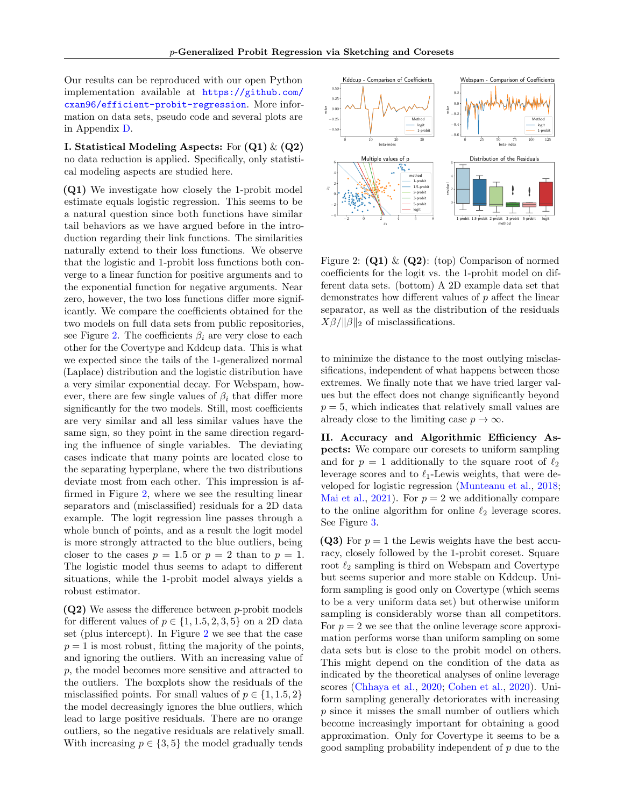Our results can be reproduced with our open Python implementation available at [https://github.com/](https://github.com/cxan96/efficient-probit-regression) [cxan96/efficient-probit-regression](https://github.com/cxan96/efficient-probit-regression). More information on data sets, pseudo code and several plots are in Appendix [D.](#page-23-1)

I. Statistical Modeling Aspects: For  $(Q1) \& (Q2)$ no data reduction is applied. Specifically, only statistical modeling aspects are studied here.

(Q1) We investigate how closely the 1-probit model estimate equals logistic regression. This seems to be a natural question since both functions have similar tail behaviors as we have argued before in the introduction regarding their link functions. The similarities naturally extend to their loss functions. We observe that the logistic and 1-probit loss functions both converge to a linear function for positive arguments and to the exponential function for negative arguments. Near zero, however, the two loss functions differ more significantly. We compare the coefficients obtained for the two models on full data sets from public repositories, see Figure [2.](#page-7-0) The coefficients  $\beta_i$  are very close to each other for the Covertype and Kddcup data. This is what we expected since the tails of the 1-generalized normal (Laplace) distribution and the logistic distribution have a very similar exponential decay. For Webspam, however, there are few single values of  $\beta_i$  that differ more significantly for the two models. Still, most coefficients are very similar and all less similar values have the same sign, so they point in the same direction regarding the influence of single variables. The deviating cases indicate that many points are located close to the separating hyperplane, where the two distributions deviate most from each other. This impression is affirmed in Figure [2,](#page-7-0) where we see the resulting linear separators and (misclassified) residuals for a 2D data example. The logit regression line passes through a whole bunch of points, and as a result the logit model is more strongly attracted to the blue outliers, being closer to the cases  $p = 1.5$  or  $p = 2$  than to  $p = 1$ . The logistic model thus seems to adapt to different situations, while the 1-probit model always yields a robust estimator.

(Q2) We assess the difference between p-probit models for different values of  $p \in \{1, 1.5, 2, 3, 5\}$  on a 2D data set (plus intercept). In Figure [2](#page-7-0) we see that the case  $p = 1$  is most robust, fitting the majority of the points, and ignoring the outliers. With an increasing value of p, the model becomes more sensitive and attracted to the outliers. The boxplots show the residuals of the misclassified points. For small values of  $p \in \{1, 1.5, 2\}$ the model decreasingly ignores the blue outliers, which lead to large positive residuals. There are no orange outliers, so the negative residuals are relatively small. With increasing  $p \in \{3, 5\}$  the model gradually tends



<span id="page-7-0"></span>Figure 2:  $(Q1) \& (Q2)$ : (top) Comparison of normed coefficients for the logit vs. the 1-probit model on different data sets. (bottom) A 2D example data set that demonstrates how different values of p affect the linear separator, as well as the distribution of the residuals  $X\beta/\|\beta\|_2$  of misclassifications.

to minimize the distance to the most outlying misclassifications, independent of what happens between those extremes. We finally note that we have tried larger values but the effect does not change significantly beyond  $p = 5$ , which indicates that relatively small values are already close to the limiting case  $p \to \infty$ .

II. Accuracy and Algorithmic Efficiency Aspects: We compare our coresets to uniform sampling and for  $p = 1$  additionally to the square root of  $\ell_2$ leverage scores and to  $\ell_1$ -Lewis weights, that were developed for logistic regression [\(Munteanu et al.,](#page-10-6) [2018;](#page-10-6) [Mai et al.,](#page-10-18) [2021\)](#page-10-18). For  $p = 2$  we additionally compare to the online algorithm for online  $\ell_2$  leverage scores. See Figure [3.](#page-8-0)

(Q3) For  $p = 1$  the Lewis weights have the best accuracy, closely followed by the 1-probit coreset. Square root  $\ell_2$  sampling is third on Webspam and Covertype but seems superior and more stable on Kddcup. Uniform sampling is good only on Covertype (which seems to be a very uniform data set) but otherwise uniform sampling is considerably worse than all competitors. For  $p = 2$  we see that the online leverage score approximation performs worse than uniform sampling on some data sets but is close to the probit model on others. This might depend on the condition of the data as indicated by the theoretical analyses of online leverage scores [\(Chhaya et al.,](#page-9-23) [2020;](#page-9-23) [Cohen et al.,](#page-9-24) [2020\)](#page-9-24). Uniform sampling generally detoriorates with increasing p since it misses the small number of outliers which become increasingly important for obtaining a good approximation. Only for Covertype it seems to be a good sampling probability independent of p due to the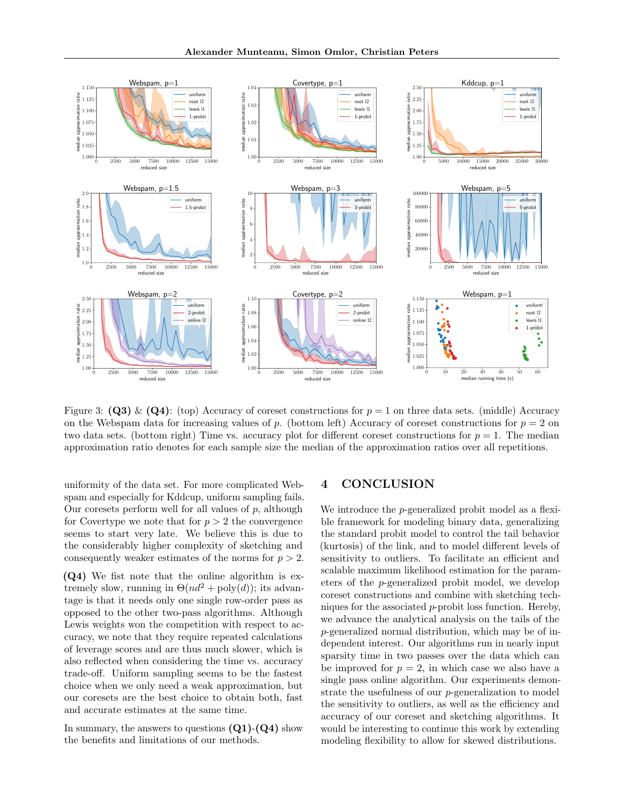

Figure 3: (Q3) & (Q4): (top) Accuracy of coreset constructions for  $p = 1$  on three data sets. (middle) Accuracy on the Webspam data for increasing values of p. (bottom left) Accuracy of coreset constructions for  $p = 2$  on two data sets. (bottom right) Time vs. accuracy plot for different coreset constructions for  $p = 1$ . The median approximation ratio denotes for each sample size the median of the approximation ratios over all repetitions.

uniformity of the data set. For more complicated Webspam and especially for Kddcup, uniform sampling fails. Our coresets perform well for all values of  $p$ , although for Covertype we note that for  $p > 2$  the convergence seems to start very late. We believe this is due to the considerably higher complexity of sketching and consequently weaker estimates of the norms for  $p > 2$ .

(Q4) We fist note that the online algorithm is extremely slow, running in  $\Theta(nd^2 + \text{poly}(d))$ ; its advantage is that it needs only one single row-order pass as opposed to the other two-pass algorithms. Although Lewis weights won the competition with respect to accuracy, we note that they require repeated calculations of leverage scores and are thus much slower, which is also reflected when considering the time vs. accuracy trade-off. Uniform sampling seems to be the fastest choice when we only need a weak approximation, but our coresets are the best choice to obtain both, fast and accurate estimates at the same time.

In summary, the answers to questions  $(Q1)-(Q4)$  show the benefits and limitations of our methods.

### <span id="page-8-0"></span>4 CONCLUSION

We introduce the *p*-generalized probit model as a flexible framework for modeling binary data, generalizing the standard probit model to control the tail behavior (kurtosis) of the link, and to model different levels of sensitivity to outliers. To facilitate an efficient and scalable maximum likelihood estimation for the parameters of the p-generalized probit model, we develop coreset constructions and combine with sketching techniques for the associated p-probit loss function. Hereby, we advance the analytical analysis on the tails of the p-generalized normal distribution, which may be of independent interest. Our algorithms run in nearly input sparsity time in two passes over the data which can be improved for  $p = 2$ , in which case we also have a single pass online algorithm. Our experiments demonstrate the usefulness of our p-generalization to model the sensitivity to outliers, as well as the efficiency and accuracy of our coreset and sketching algorithms. It would be interesting to continue this work by extending modeling flexibility to allow for skewed distributions.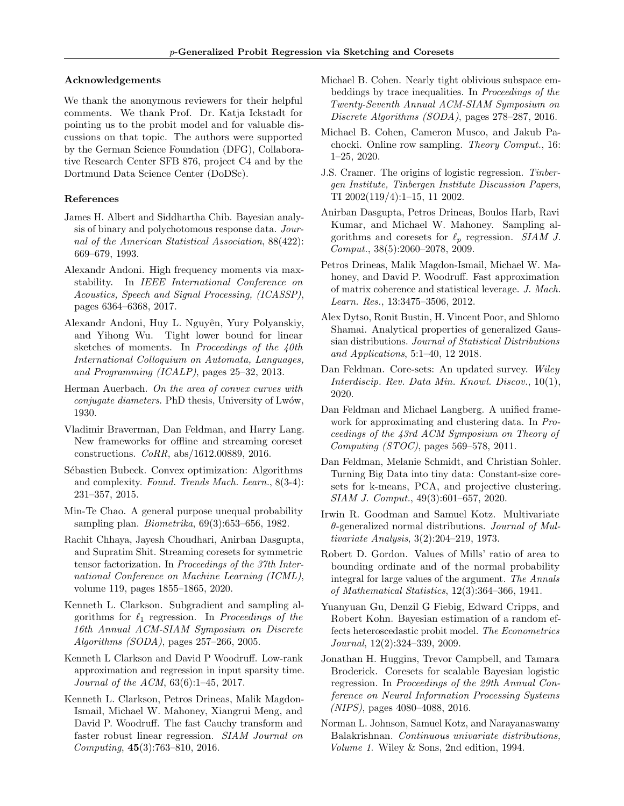#### Acknowledgements

We thank the anonymous reviewers for their helpful comments. We thank Prof. Dr. Katja Ickstadt for pointing us to the probit model and for valuable discussions on that topic. The authors were supported by the German Science Foundation (DFG), Collaborative Research Center SFB 876, project C4 and by the Dortmund Data Science Center (DoDSc).

#### References

- <span id="page-9-2"></span>James H. Albert and Siddhartha Chib. Bayesian analysis of binary and polychotomous response data. Journal of the American Statistical Association, 88(422): 669–679, 1993.
- <span id="page-9-17"></span>Alexandr Andoni. High frequency moments via maxstability. In IEEE International Conference on Acoustics, Speech and Signal Processing, (ICASSP), pages 6364–6368, 2017.
- <span id="page-9-20"></span>Alexandr Andoni, Huy L. Nguyên, Yury Polyanskiy, and Yihong Wu. Tight lower bound for linear sketches of moments. In Proceedings of the  $40th$ International Colloquium on Automata, Languages, and Programming (ICALP), pages 25–32, 2013.
- <span id="page-9-16"></span>Herman Auerbach. On the area of convex curves with conjugate diameters. PhD thesis, University of Lwów, 1930.
- <span id="page-9-14"></span>Vladimir Braverman, Dan Feldman, and Harry Lang. New frameworks for offline and streaming coreset constructions. CoRR, abs/1612.00889, 2016.
- <span id="page-9-3"></span>Sébastien Bubeck. Convex optimization: Algorithms and complexity. Found. Trends Mach. Learn., 8(3-4): 231–357, 2015.
- <span id="page-9-22"></span>Min-Te Chao. A general purpose unequal probability sampling plan. Biometrika, 69(3):653–656, 1982.
- <span id="page-9-23"></span>Rachit Chhaya, Jayesh Choudhari, Anirban Dasgupta, and Supratim Shit. Streaming coresets for symmetric tensor factorization. In Proceedings of the 37th International Conference on Machine Learning (ICML), volume 119, pages 1855–1865, 2020.
- <span id="page-9-9"></span>Kenneth L. Clarkson. Subgradient and sampling algorithms for  $\ell_1$  regression. In Proceedings of the 16th Annual ACM-SIAM Symposium on Discrete Algorithms (SODA), pages 257–266, 2005.
- <span id="page-9-18"></span>Kenneth L Clarkson and David P Woodruff. Low-rank approximation and regression in input sparsity time. Journal of the ACM, 63(6):1–45, 2017.
- <span id="page-9-11"></span>Kenneth L. Clarkson, Petros Drineas, Malik Magdon-Ismail, Michael W. Mahoney, Xiangrui Meng, and David P. Woodruff. The fast Cauchy transform and faster robust linear regression. SIAM Journal on Computing, 45(3):763–810, 2016.
- <span id="page-9-19"></span>Michael B. Cohen. Nearly tight oblivious subspace embeddings by trace inequalities. In Proceedings of the Twenty-Seventh Annual ACM-SIAM Symposium on Discrete Algorithms (SODA), pages 278–287, 2016.
- <span id="page-9-24"></span>Michael B. Cohen, Cameron Musco, and Jakub Pachocki. Online row sampling. Theory Comput., 16: 1–25, 2020.
- <span id="page-9-0"></span>J.S. Cramer. The origins of logistic regression. Tinbergen Institute, Tinbergen Institute Discussion Papers, TI 2002(119/4):1–15, 11 2002.
- <span id="page-9-10"></span>Anirban Dasgupta, Petros Drineas, Boulos Harb, Ravi Kumar, and Michael W. Mahoney. Sampling algorithms and coresets for  $\ell_p$  regression. SIAM J. Comput., 38(5):2060–2078, 2009.
- <span id="page-9-21"></span>Petros Drineas, Malik Magdon-Ismail, Michael W. Mahoney, and David P. Woodruff. Fast approximation of matrix coherence and statistical leverage. J. Mach. Learn. Res., 13:3475–3506, 2012.
- <span id="page-9-7"></span>Alex Dytso, Ronit Bustin, H. Vincent Poor, and Shlomo Shamai. Analytical properties of generalized Gaussian distributions. Journal of Statistical Distributions and Applications, 5:1–40, 12 2018.
- <span id="page-9-4"></span>Dan Feldman. Core-sets: An updated survey. Wiley Interdiscip. Rev. Data Min. Knowl. Discov., 10(1), 2020.
- <span id="page-9-13"></span>Dan Feldman and Michael Langberg. A unified framework for approximating and clustering data. In Proceedings of the 43rd ACM Symposium on Theory of Computing (STOC), pages 569–578, 2011.
- <span id="page-9-15"></span>Dan Feldman, Melanie Schmidt, and Christian Sohler. Turning Big Data into tiny data: Constant-size coresets for k-means, PCA, and projective clustering. SIAM J. Comput., 49(3):601–657, 2020.
- <span id="page-9-5"></span>Irwin R. Goodman and Samuel Kotz. Multivariate  $\theta$ -generalized normal distributions. Journal of Multivariate Analysis, 3(2):204–219, 1973.
- <span id="page-9-8"></span>Robert D. Gordon. Values of Mills' ratio of area to bounding ordinate and of the normal probability integral for large values of the argument. The Annals of Mathematical Statistics, 12(3):364–366, 1941.
- <span id="page-9-1"></span>Yuanyuan Gu, Denzil G Fiebig, Edward Cripps, and Robert Kohn. Bayesian estimation of a random effects heteroscedastic probit model. The Econometrics Journal, 12(2):324–339, 2009.
- <span id="page-9-12"></span>Jonathan H. Huggins, Trevor Campbell, and Tamara Broderick. Coresets for scalable Bayesian logistic regression. In Proceedings of the 29th Annual Conference on Neural Information Processing Systems (NIPS), pages 4080–4088, 2016.
- <span id="page-9-6"></span>Norman L. Johnson, Samuel Kotz, and Narayanaswamy Balakrishnan. Continuous univariate distributions, Volume 1. Wiley & Sons, 2nd edition, 1994.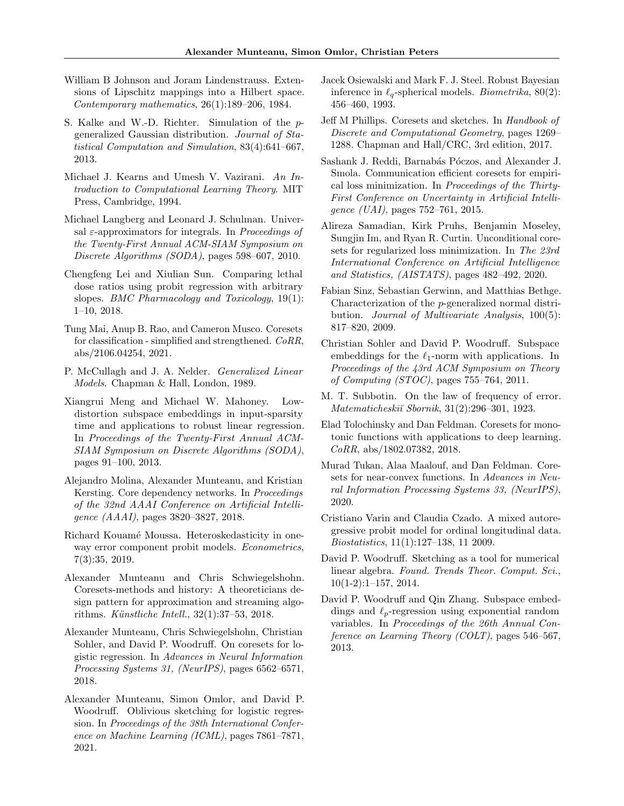- <span id="page-10-24"></span>William B Johnson and Joram Lindenstrauss. Extensions of Lipschitz mappings into a Hilbert space. Contemporary mathematics, 26(1):189–206, 1984.
- <span id="page-10-5"></span>S. Kalke and W.-D. Richter. Simulation of the pgeneralized Gaussian distribution. Journal of Statistical Computation and Simulation, 83(4):641–667, 2013.
- <span id="page-10-23"></span>Michael J. Kearns and Umesh V. Vazirani. An Introduction to Computational Learning Theory. MIT Press, Cambridge, 1994.
- <span id="page-10-22"></span>Michael Langberg and Leonard J. Schulman. Universal  $\varepsilon$ -approximators for integrals. In *Proceedings of* the Twenty-First Annual ACM-SIAM Symposium on Discrete Algorithms (SODA), pages 598–607, 2010.
- <span id="page-10-1"></span>Chengfeng Lei and Xiulian Sun. Comparing lethal dose ratios using probit regression with arbitrary slopes. BMC Pharmacology and Toxicology, 19(1): 1–10, 2018.
- <span id="page-10-18"></span>Tung Mai, Anup B. Rao, and Cameron Musco. Coresets for classification - simplified and strengthened.  $CoRR$ , abs/2106.04254, 2021.
- <span id="page-10-4"></span>P. McCullagh and J. A. Nelder. Generalized Linear Models. Chapman & Hall, London, 1989.
- <span id="page-10-14"></span>Xiangrui Meng and Michael W. Mahoney. Lowdistortion subspace embeddings in input-sparsity time and applications to robust linear regression. In Proceedings of the Twenty-First Annual ACM-SIAM Symposium on Discrete Algorithms (SODA), pages 91–100, 2013.
- <span id="page-10-16"></span>Alejandro Molina, Alexander Munteanu, and Kristian Kersting. Core dependency networks. In Proceedings of the 32nd AAAI Conference on Artificial Intelligence (AAAI), pages 3820–3827, 2018.
- <span id="page-10-3"></span>Richard Kouamé Moussa. Heteroskedasticity in oneway error component probit models. Econometrics, 7(3):35, 2019.
- <span id="page-10-9"></span>Alexander Munteanu and Chris Schwiegelshohn. Coresets-methods and history: A theoreticians design pattern for approximation and streaming algorithms. Künstliche Intell.,  $32(1):37-53$ ,  $2018$ .
- <span id="page-10-6"></span>Alexander Munteanu, Chris Schwiegelshohn, Christian Sohler, and David P. Woodruff. On coresets for logistic regression. In Advances in Neural Information Processing Systems 31, (NeurIPS), pages 6562–6571, 2018.
- <span id="page-10-7"></span>Alexander Munteanu, Simon Omlor, and David P. Woodruff. Oblivious sketching for logistic regression. In Proceedings of the 38th International Conference on Machine Learning (ICML), pages 7861–7871, 2021.
- <span id="page-10-11"></span>Jacek Osiewalski and Mark F. J. Steel. Robust Bayesian inference in  $\ell_q$ -spherical models. *Biometrika*, 80(2): 456–460, 1993.
- <span id="page-10-8"></span>Jeff M Phillips. Coresets and sketches. In Handbook of Discrete and Computational Geometry, pages 1269– 1288. Chapman and Hall/CRC, 3rd edition, 2017.
- <span id="page-10-17"></span>Sashank J. Reddi, Barnabás Póczos, and Alexander J. Smola. Communication efficient coresets for empirical loss minimization. In Proceedings of the Thirty-First Conference on Uncertainty in Artificial Intelligence (UAI), pages 752–761, 2015.
- <span id="page-10-21"></span>Alireza Samadian, Kirk Pruhs, Benjamin Moseley, Sungjin Im, and Ryan R. Curtin. Unconditional coresets for regularized loss minimization. In The 23rd International Conference on Artificial Intelligence and Statistics, (AISTATS), pages 482–492, 2020.
- <span id="page-10-12"></span>Fabian Sinz, Sebastian Gerwinn, and Matthias Bethge. Characterization of the p-generalized normal distribution. Journal of Multivariate Analysis, 100(5): 817–820, 2009.
- <span id="page-10-13"></span>Christian Sohler and David P. Woodruff. Subspace embeddings for the  $\ell_1$ -norm with applications. In Proceedings of the 43rd ACM Symposium on Theory of Computing (STOC), pages 755–764, 2011.
- <span id="page-10-0"></span>M. T. Subbotin. On the law of frequency of error. Matematicheskiĭ Sbornik, 31(2):296–301, 1923.
- <span id="page-10-19"></span>Elad Tolochinsky and Dan Feldman. Coresets for monotonic functions with applications to deep learning. CoRR, abs/1802.07382, 2018.
- <span id="page-10-20"></span>Murad Tukan, Alaa Maalouf, and Dan Feldman. Coresets for near-convex functions. In Advances in Neural Information Processing Systems 33, (NeurIPS), 2020.
- <span id="page-10-2"></span>Cristiano Varin and Claudia Czado. A mixed autoregressive probit model for ordinal longitudinal data. Biostatistics, 11(1):127–138, 11 2009.
- <span id="page-10-10"></span>David P. Woodruff. Sketching as a tool for numerical linear algebra. Found. Trends Theor. Comput. Sci., 10(1-2):1–157, 2014.
- <span id="page-10-15"></span>David P. Woodruff and Qin Zhang. Subspace embeddings and  $\ell_p$ -regression using exponential random variables. In Proceedings of the 26th Annual Conference on Learning Theory (COLT), pages 546–567, 2013.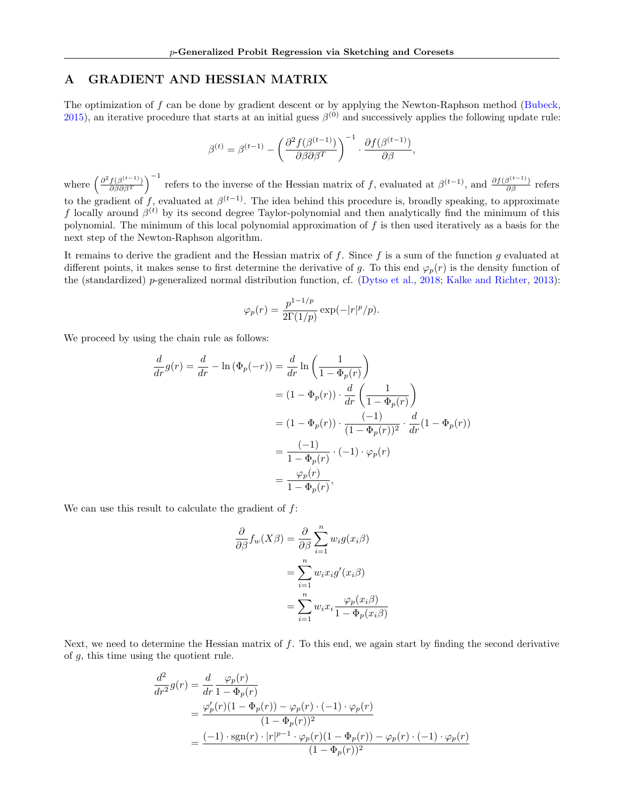### <span id="page-11-0"></span>A GRADIENT AND HESSIAN MATRIX

The optimization of  $f$  can be done by gradient descent or by applying the Newton-Raphson method [\(Bubeck,](#page-9-3) [2015\)](#page-9-3), an iterative procedure that starts at an initial guess  $\beta^{(0)}$  and successively applies the following update rule:

$$
\beta^{(t)} = \beta^{(t-1)} - \left(\frac{\partial^2 f(\beta^{(t-1)})}{\partial \beta \partial \beta^T}\right)^{-1} \cdot \frac{\partial f(\beta^{(t-1)})}{\partial \beta},
$$

where  $\left(\frac{\partial^2 f(\beta^{(t-1)})}{\partial \beta \partial \beta^T}\right)$  $\left(\frac{f(\beta^{(t-1)})}{\partial \beta \partial \beta^T}\right)^{-1}$  refers to the inverse of the Hessian matrix of f, evaluated at  $\beta^{(t-1)}$ , and  $\frac{\partial f(\beta^{(t-1)})}{\partial \beta}$  refers to the gradient of f, evaluated at  $\beta^{(t-1)}$ . The idea behind this procedure is, broadly speaking, to approximate f locally around  $\beta^{(t)}$  by its second degree Taylor-polynomial and then analytically find the minimum of this polynomial. The minimum of this local polynomial approximation of  $f$  is then used iteratively as a basis for the next step of the Newton-Raphson algorithm.

It remains to derive the gradient and the Hessian matrix of f. Since  $f$  is a sum of the function  $g$  evaluated at different points, it makes sense to first determine the derivative of g. To this end  $\varphi_p(r)$  is the density function of the (standardized) p-generalized normal distribution function, cf. [\(Dytso et al.,](#page-9-7) [2018;](#page-9-7) [Kalke and Richter,](#page-10-5) [2013\)](#page-10-5):

$$
\varphi_p(r) = \frac{p^{1-1/p}}{2\Gamma(1/p)} \exp(-|r|^p/p).
$$

We proceed by using the chain rule as follows:

$$
\frac{d}{dr}g(r) = \frac{d}{dr} - \ln(\Phi_p(-r)) = \frac{d}{dr}\ln\left(\frac{1}{1 - \Phi_p(r)}\right)
$$

$$
= (1 - \Phi_p(r)) \cdot \frac{d}{dr}\left(\frac{1}{1 - \Phi_p(r)}\right)
$$

$$
= (1 - \Phi_p(r)) \cdot \frac{(-1)}{(1 - \Phi_p(r))^2} \cdot \frac{d}{dr}(1 - \Phi_p(r))
$$

$$
= \frac{(-1)}{1 - \Phi_p(r)} \cdot (-1) \cdot \varphi_p(r)
$$

$$
= \frac{\varphi_p(r)}{1 - \Phi_p(r)},
$$

We can use this result to calculate the gradient of  $f$ :

$$
\frac{\partial}{\partial \beta} f_w(X\beta) = \frac{\partial}{\partial \beta} \sum_{i=1}^n w_i g(x_i \beta)
$$

$$
= \sum_{i=1}^n w_i x_i g'(x_i \beta)
$$

$$
= \sum_{i=1}^n w_i x_i \frac{\varphi_p(x_i \beta)}{1 - \Phi_p(x_i \beta)}
$$

Next, we need to determine the Hessian matrix of  $f$ . To this end, we again start by finding the second derivative of g, this time using the quotient rule.

$$
\frac{d^2}{dr^2}g(r) = \frac{d}{dr}\frac{\varphi_p(r)}{1 - \Phi_p(r)} \n= \frac{\varphi_p'(r)(1 - \Phi_p(r)) - \varphi_p(r) \cdot (-1) \cdot \varphi_p(r)}{(1 - \Phi_p(r))^2} \n= \frac{(-1) \cdot \text{sgn}(r) \cdot |r|^{p-1} \cdot \varphi_p(r)(1 - \Phi_p(r)) - \varphi_p(r) \cdot (-1) \cdot \varphi_p(r)}{(1 - \Phi_p(r))^2}
$$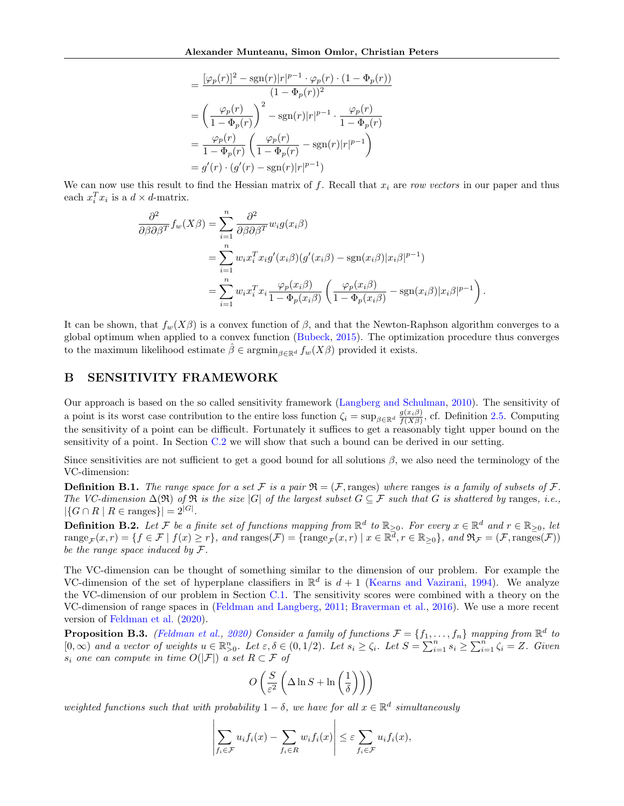$$
= \frac{[\varphi_p(r)]^2 - \text{sgn}(r)|r|^{p-1} \cdot \varphi_p(r) \cdot (1 - \Phi_p(r))}{(1 - \Phi_p(r))^2}
$$

$$
= \left(\frac{\varphi_p(r)}{1 - \Phi_p(r)}\right)^2 - \text{sgn}(r)|r|^{p-1} \cdot \frac{\varphi_p(r)}{1 - \Phi_p(r)}
$$

$$
= \frac{\varphi_p(r)}{1 - \Phi_p(r)} \left(\frac{\varphi_p(r)}{1 - \Phi_p(r)} - \text{sgn}(r)|r|^{p-1}\right)
$$

$$
= g'(r) \cdot (g'(r) - \text{sgn}(r)|r|^{p-1})
$$

We can now use this result to find the Hessian matrix of f. Recall that  $x_i$  are row vectors in our paper and thus each  $x_i^T x_i$  is a  $d \times d$ -matrix.

$$
\frac{\partial^2}{\partial \beta \partial \beta^T} f_w(X\beta) = \sum_{i=1}^n \frac{\partial^2}{\partial \beta \partial \beta^T} w_i g(x_i \beta)
$$
  
= 
$$
\sum_{i=1}^n w_i x_i^T x_i g'(x_i \beta) (g'(x_i \beta) - \text{sgn}(x_i \beta) |x_i \beta|^{p-1})
$$
  
= 
$$
\sum_{i=1}^n w_i x_i^T x_i \frac{\varphi_p(x_i \beta)}{1 - \Phi_p(x_i \beta)} \left( \frac{\varphi_p(x_i \beta)}{1 - \Phi_p(x_i \beta)} - \text{sgn}(x_i \beta) |x_i \beta|^{p-1} \right)
$$

.

It can be shown, that  $f_w(X\beta)$  is a convex function of  $\beta$ , and that the Newton-Raphson algorithm converges to a global optimum when applied to a convex function [\(Bubeck,](#page-9-3) [2015\)](#page-9-3). The optimization procedure thus converges to the maximum likelihood estimate  $\hat{\beta} \in \operatorname{argmin}_{\beta \in \mathbb{R}^d} f_w(X\beta)$  provided it exists.

### <span id="page-12-1"></span>B SENSITIVITY FRAMEWORK

Our approach is based on the so called sensitivity framework [\(Langberg and Schulman,](#page-10-22) [2010\)](#page-10-22). The sensitivity of a point is its worst case contribution to the entire loss function  $\zeta_i = \sup_{\beta \in \mathbb{R}^d} \frac{g(x_i \beta)}{f(X\beta)}$ , cf. Definition [2.5.](#page-4-1) Computing the sensitivity of a point can be difficult. Fortunately it suffices to get a reasonably tight upper bound on the sensitivity of a point. In Section [C.2](#page-19-0) we will show that such a bound can be derived in our setting.

Since sensitivities are not sufficient to get a good bound for all solutions  $\beta$ , we also need the terminology of the VC-dimension:

**Definition B.1.** The range space for a set F is a pair  $\mathfrak{R} = (\mathcal{F}, \text{ranges})$  where ranges is a family of subsets of F. The VC-dimension  $\Delta(\mathfrak{R})$  of  $\mathfrak{R}$  is the size  $|G|$  of the largest subset  $G \subseteq \mathcal{F}$  such that G is shattered by ranges, i.e.,  $|\{G \cap R \mid R \in \text{ranges}\}| = 2^{|G|}.$ 

**Definition B.2.** Let F be a finite set of functions mapping from  $\mathbb{R}^d$  to  $\mathbb{R}_{\geq 0}$ . For every  $x \in \mathbb{R}^d$  and  $r \in \mathbb{R}_{\geq 0}$ , let  $range_{\mathcal{F}}(x,r) = \{f \in \mathcal{F} \mid f(x) \ge r\}, \text{ and ranges}(\mathcal{F}) = \{\text{range}_{\mathcal{F}}(x,r) \mid x \in \mathbb{R}^{\mathcal{J}}, r \in \mathbb{R}_{\ge 0}\}, \text{ and } \mathfrak{R}_{\mathcal{F}} = (\mathcal{F}, \text{ranges}(\mathcal{F}))$ be the range space induced by  $\mathcal{F}.$ 

The VC-dimension can be thought of something similar to the dimension of our problem. For example the VC-dimension of the set of hyperplane classifiers in  $\mathbb{R}^d$  is  $d+1$  [\(Kearns and Vazirani,](#page-10-23) [1994\)](#page-10-23). We analyze the VC-dimension of our problem in Section  $C.1$ . The sensitivity scores were combined with a theory on the VC-dimension of range spaces in [\(Feldman and Langberg,](#page-9-13) [2011;](#page-9-13) [Braverman et al.,](#page-9-14) [2016\)](#page-9-14). We use a more recent version of [Feldman et al.](#page-9-15) [\(2020\)](#page-9-15).

<span id="page-12-0"></span>**Proposition B.3.** [\(Feldman et al.,](#page-9-15) [2020\)](#page-9-15) Consider a family of functions  $\mathcal{F} = \{f_1, \ldots, f_n\}$  mapping from  $\mathbb{R}^d$  to  $[0,\infty)$  and a vector of weights  $u \in \mathbb{R}_{\geq 0}^n$ . Let  $\varepsilon, \delta \in (0,1/2)$ . Let  $s_i \geq \zeta_i$ . Let  $S = \sum_{i=1}^n s_i \geq \sum_{i=1}^n \zeta_i = Z$ . Given  $s_i$  one can compute in time  $O(|\mathcal{F}|)$  a set  $R \subset \mathcal{F}$  of

$$
O\left(\frac{S}{\varepsilon^2} \left(\Delta \ln S + \ln\left(\frac{1}{\delta}\right)\right)\right)
$$

weighted functions such that with probability  $1 - \delta$ , we have for all  $x \in \mathbb{R}^d$  simultaneously

 $\overline{1}$ 

$$
\left|\sum_{f_i \in \mathcal{F}} u_i f_i(x) - \sum_{f_i \in R} w_i f_i(x)\right| \leq \varepsilon \sum_{f_i \in \mathcal{F}} u_i f_i(x),
$$

 $\overline{1}$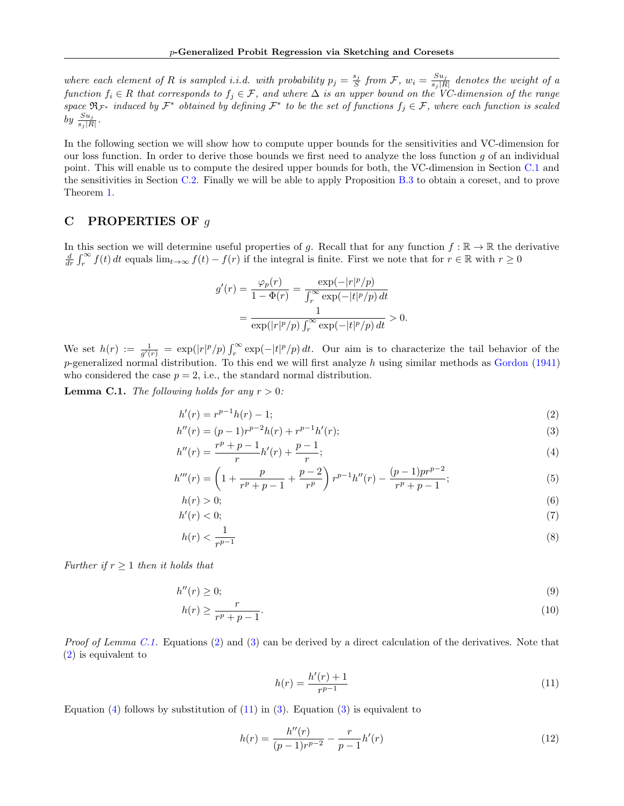where each element of R is sampled i.i.d. with probability  $p_j = \frac{s_j}{S}$  from F,  $w_i = \frac{S u_j}{s_j | R}$  $\frac{S u_j}{|S| |R|}$  denotes the weight of a function  $f_i \in R$  that corresponds to  $f_j \in \mathcal{F}$ , and where  $\Delta$  is an upper bound on the VC-dimension of the range space  $\mathfrak{R}_{\mathcal{F}^*}$  induced by  $\mathcal{F}^*$  obtained by defining  $\mathcal{F}^*$  to be the set of functions  $f_j \in \mathcal{F}$ , where each function is scaled by  $\frac{S u_j}{s_j |R|}$ .

In the following section we will show how to compute upper bounds for the sensitivities and VC-dimension for our loss function. In order to derive those bounds we first need to analyze the loss function  $q$  of an individual point. This will enable us to compute the desired upper bounds for both, the VC-dimension in Section [C.1](#page-17-1) and the sensitivities in Section [C.2.](#page-19-0) Finally we will be able to apply Proposition [B.3](#page-12-0) to obtain a coreset, and to prove Theorem [1.](#page-3-2)

### C PROPERTIES OF  $q$

In this section we will determine useful properties of g. Recall that for any function  $f : \mathbb{R} \to \mathbb{R}$  the derivative  $\frac{d}{dr}\int_r^{\infty} f(t) dt$  equals  $\lim_{t\to\infty} f(t) - f(r)$  if the integral is finite. First we note that for  $r \in \mathbb{R}$  with  $r \ge 0$ 

<span id="page-13-2"></span><span id="page-13-1"></span>
$$
g'(r) = \frac{\varphi_p(r)}{1 - \Phi(r)} = \frac{\exp(-|r|^p/p)}{\int_r^{\infty} \exp(-|t|^p/p) dt}
$$

$$
= \frac{1}{\exp(|r|^p/p) \int_r^{\infty} \exp(-|t|^p/p) dt} > 0.
$$

We set  $h(r) := \frac{1}{g'(r)} = \exp(|r|^p/p) \int_r^{\infty} \exp(-|t|^p/p) dt$ . Our aim is to characterize the tail behavior of the p-generalized normal distribution. To this end we will first analyze h using similar methods as [Gordon](#page-9-8)  $(1941)$ who considered the case  $p = 2$ , i.e., the standard normal distribution.

<span id="page-13-0"></span>**Lemma C.1.** The following holds for any  $r > 0$ :

$$
h'(r) = r^{p-1}h(r) - 1;
$$
\n(2)

$$
h''(r) = (p-1)r^{p-2}h(r) + r^{p-1}h'(r);
$$
\n(3)

$$
h''(r) = \frac{r^p + p - 1}{r}h'(r) + \frac{p - 1}{r};
$$
\n(4)

$$
h'''(r) = \left(1 + \frac{p}{r^p + p - 1} + \frac{p - 2}{r^p}\right)r^{p-1}h''(r) - \frac{(p - 1)pr^{p-2}}{r^p + p - 1};\tag{5}
$$

$$
h(r) > 0; \tag{6}
$$
\n
$$
h'(r) < 0; \tag{7}
$$

$$
h'(r) < 0; \tag{7}
$$
\n
$$
h(r) < \frac{1}{r^{p-1}} \tag{8}
$$

Further if  $r \geq 1$  then it holds that

$$
h''(r) \ge 0;\tag{9}
$$

$$
h(r) \ge \frac{r}{r^p + p - 1}.\tag{10}
$$

Proof of Lemma [C.1.](#page-13-0) Equations [\(2\)](#page-13-1) and [\(3\)](#page-13-2) can be derived by a direct calculation of the derivatives. Note that [\(2\)](#page-13-1) is equivalent to

<span id="page-13-11"></span><span id="page-13-10"></span><span id="page-13-9"></span><span id="page-13-8"></span><span id="page-13-7"></span><span id="page-13-6"></span><span id="page-13-5"></span><span id="page-13-4"></span><span id="page-13-3"></span>
$$
h(r) = \frac{h'(r) + 1}{r^{p-1}}\tag{11}
$$

Equation  $(4)$  follows by substitution of  $(11)$  in  $(3)$ . Equation  $(3)$  is equivalent to

$$
h(r) = \frac{h''(r)}{(p-1)r^{p-2}} - \frac{r}{p-1}h'(r)
$$
\n(12)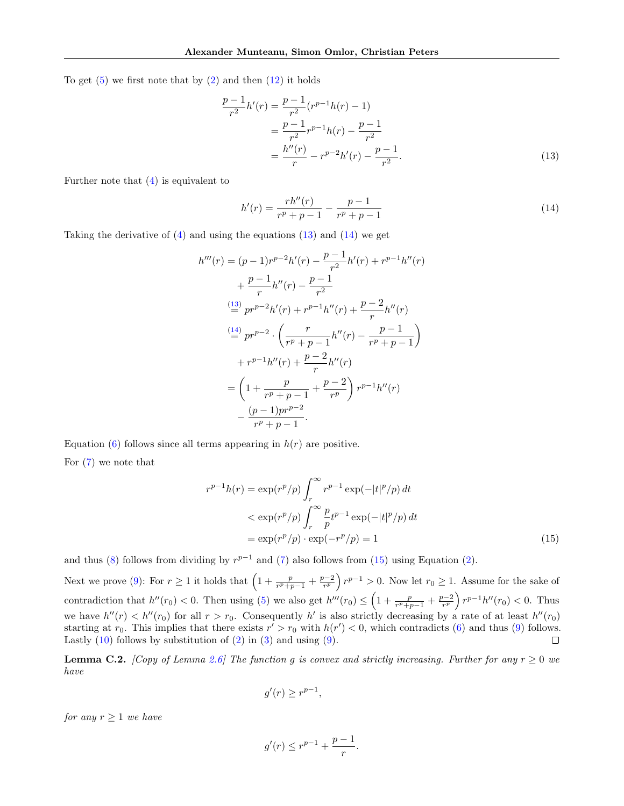To get  $(5)$  we first note that by  $(2)$  and then  $(12)$  it holds

$$
\frac{p-1}{r^2}h'(r) = \frac{p-1}{r^2}(r^{p-1}h(r) - 1)
$$

$$
= \frac{p-1}{r^2}r^{p-1}h(r) - \frac{p-1}{r^2}
$$

$$
= \frac{h''(r)}{r} - r^{p-2}h'(r) - \frac{p-1}{r^2}.
$$
(13)

Further note that [\(4\)](#page-13-3) is equivalent to

<span id="page-14-1"></span><span id="page-14-0"></span>
$$
h'(r) = \frac{rh''(r)}{r^p + p - 1} - \frac{p - 1}{r^p + p - 1} \tag{14}
$$

Taking the derivative of  $(4)$  and using the equations  $(13)$  and  $(14)$  we get

$$
h'''(r) = (p-1)r^{p-2}h'(r) - \frac{p-1}{r^2}h'(r) + r^{p-1}h''(r)
$$
  
+  $\frac{p-1}{r}h''(r) - \frac{p-1}{r^2}$   

$$
\stackrel{(13)}{=} pr^{p-2}h'(r) + r^{p-1}h''(r) + \frac{p-2}{r}h''(r)
$$
  

$$
\stackrel{(14)}{=} pr^{p-2} \cdot \left(\frac{r}{r^p + p - 1}h''(r) - \frac{p-1}{r^p + p - 1}\right)
$$
  
+  $r^{p-1}h''(r) + \frac{p-2}{r}h''(r)$   
=  $\left(1 + \frac{p}{r^p + p - 1} + \frac{p-2}{r^p}\right)r^{p-1}h''(r)$   
-  $\frac{(p-1)pr^{p-2}}{r^p + p - 1}.$ 

Equation [\(6\)](#page-13-7) follows since all terms appearing in  $h(r)$  are positive. For [\(7\)](#page-13-8) we note that

$$
r^{p-1}h(r) = \exp(r^p/p)\int_r^{\infty} r^{p-1}\exp(-|t|^p/p) dt
$$
  

$$
< \exp(r^p/p)\int_r^{\infty} \frac{p}{p}t^{p-1}\exp(-|t|^p/p) dt
$$
  

$$
= \exp(r^p/p)\cdot \exp(-r^p/p) = 1
$$
 (15)

and thus [\(8\)](#page-13-9) follows from dividing by  $r^{p-1}$  and [\(7\)](#page-13-8) also follows from [\(15\)](#page-14-2) using Equation [\(2\)](#page-13-1).

Next we prove [\(9\)](#page-13-10): For  $r \geq 1$  it holds that  $\left(1 + \frac{p}{r^p + p-1} + \frac{p-2}{r^p}\right)r^{p-1} > 0$ . Now let  $r_0 \geq 1$ . Assume for the sake of contradiction that  $h''(r_0) < 0$ . Then using [\(5\)](#page-13-5) we also get  $h'''(r_0) \leq \left(1 + \frac{p}{r^p + p-1} + \frac{p-2}{r^p}\right) r^{p-1} h''(r_0) < 0$ . Thus we have  $h''(r) < h''(r_0)$  for all  $r > r_0$ . Consequently h' is also strictly decreasing by a rate of at least  $h''(r_0)$ starting at  $r_0$ . This implies that there exists  $r' > r_0$  with  $h(r') < 0$ , which contradicts [\(6\)](#page-13-7) and thus [\(9\)](#page-13-10) follows. Lastly  $(10)$  follows by substitution of  $(2)$  in  $(3)$  and using  $(9)$ .  $\Box$ 

<span id="page-14-3"></span>**Lemma C.2.** [Copy of Lemma [2.6\]](#page-4-0) The function g is convex and strictly increasing. Further for any  $r \ge 0$  we have

<span id="page-14-2"></span>
$$
g'(r) \ge r^{p-1},
$$

for any  $r \geq 1$  we have

$$
g'(r) \le r^{p-1} + \frac{p-1}{r}.
$$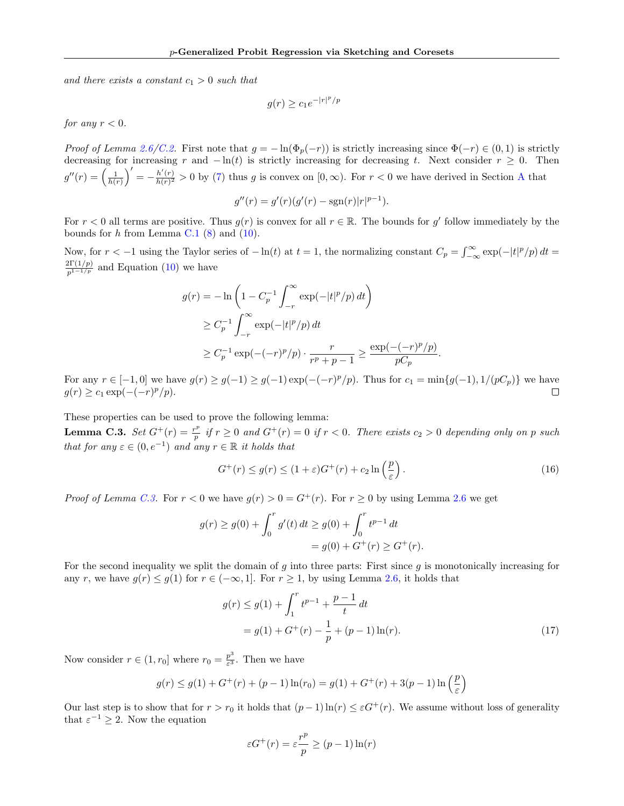and there exists a constant  $c_1 > 0$  such that

$$
g(r) \geq c_1 e^{-|r|^p/p}
$$

for any  $r < 0$ .

Proof of Lemma [2.6/](#page-4-0)[C.2.](#page-14-3) First note that  $g = -\ln(\Phi_p(-r))$  is strictly increasing since  $\Phi(-r) \in (0,1)$  is strictly decreasing for increasing r and  $-\ln(t)$  is strictly increasing for decreasing t. Next consider  $r \geq 0$ . Then  $g''(r) = \left(\frac{1}{h(r)}\right)' = -\frac{h'(r)}{h(r)^2}$  $\frac{h(r)}{h(r)^2} > 0$  by [\(7\)](#page-13-8) thus g is convex on  $[0, \infty)$ . For  $r < 0$  we have derived in Section [A](#page-11-0) that

$$
g''(r) = g'(r)(g'(r) - \text{sgn}(r)|r|^{p-1}).
$$

For  $r < 0$  all terms are positive. Thus  $g(r)$  is convex for all  $r \in \mathbb{R}$ . The bounds for g' follow immediately by the bounds for  $h$  from Lemma [C.1](#page-13-0) [\(8\)](#page-13-9) and [\(10\)](#page-13-11).

Now, for  $r < -1$  using the Taylor series of  $-\ln(t)$  at  $t = 1$ , the normalizing constant  $C_p = \int_{-\infty}^{\infty} \exp(-|t|^p/p) dt =$  $\frac{2\Gamma(1/p)}{p^{1-1/p}}$  and Equation [\(10\)](#page-13-11) we have

$$
g(r) = -\ln\left(1 - C_p^{-1} \int_{-r}^{\infty} \exp(-|t|^p/p) dt\right)
$$
  
\n
$$
\geq C_p^{-1} \int_{-r}^{\infty} \exp(-|t|^p/p) dt
$$
  
\n
$$
\geq C_p^{-1} \exp(-(-r)^p/p) \cdot \frac{r}{r^p + p - 1} \geq \frac{\exp(-(-r)^p/p)}{pC_p}.
$$

For any  $r \in [-1,0]$  we have  $g(r) \ge g(-1) \ge g(-1) \exp(-(r)^p/p)$ . Thus for  $c_1 = \min\{g(-1), 1/(pC_p)\}\)$  we have  $g(r) \ge c_1 \exp(-(r)^p/p).$ 

These properties can be used to prove the following lemma:

<span id="page-15-0"></span>**Lemma C.3.** Set  $G^+(r) = \frac{r^p}{r}$  $\frac{p}{p}$  if  $r \geq 0$  and  $G^+(r) = 0$  if  $r < 0$ . There exists  $c_2 > 0$  depending only on p such that for any  $\varepsilon \in (0, e^{-1})$  and any  $r \in \mathbb{R}$  it holds that

$$
G^{+}(r) \le g(r) \le (1+\varepsilon)G^{+}(r) + c_2 \ln\left(\frac{p}{\varepsilon}\right). \tag{16}
$$

*Proof of Lemma [C.3.](#page-15-0)* For  $r < 0$  we have  $g(r) > 0 = G^+(r)$ . For  $r \ge 0$  by using Lemma [2.6](#page-4-0) we get

$$
g(r) \ge g(0) + \int_0^r g'(t) dt \ge g(0) + \int_0^r t^{p-1} dt
$$
  
=  $g(0) + G^+(r) \ge G^+(r)$ .

For the second inequality we split the domain of  $g$  into three parts: First since  $g$  is monotonically increasing for any r, we have  $g(r) \leq g(1)$  for  $r \in (-\infty, 1]$ . For  $r \geq 1$ , by using Lemma [2.6,](#page-4-0) it holds that

$$
g(r) \le g(1) + \int_1^r t^{p-1} + \frac{p-1}{t} dt
$$
  
=  $g(1) + G^+(r) - \frac{1}{p} + (p-1) \ln(r).$  (17)

Now consider  $r \in (1, r_0]$  where  $r_0 = \frac{p^3}{\varepsilon^3}$  $\frac{p}{\varepsilon^3}$ . Then we have

$$
g(r) \le g(1) + G^+(r) + (p-1)\ln(r_0) = g(1) + G^+(r) + 3(p-1)\ln\left(\frac{p}{\varepsilon}\right)
$$

Our last step is to show that for  $r > r_0$  it holds that  $(p-1)\ln(r) \leq \varepsilon G^+(r)$ . We assume without loss of generality that  $\varepsilon^{-1} \geq 2$ . Now the equation

$$
\varepsilon G^+(r) = \varepsilon \frac{r^p}{p} \ge (p-1)\ln(r)
$$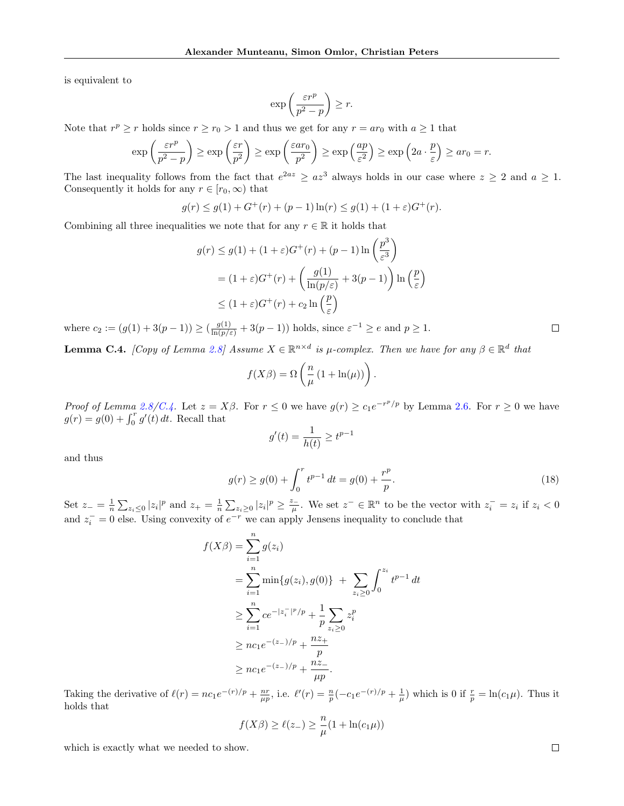is equivalent to

$$
\exp\left(\frac{\varepsilon r^p}{p^2 - p}\right) \ge r.
$$

Note that  $r^p \ge r$  holds since  $r \ge r_0 > 1$  and thus we get for any  $r = ar_0$  with  $a \ge 1$  that

$$
\exp\left(\frac{\varepsilon r^p}{p^2 - p}\right) \ge \exp\left(\frac{\varepsilon r}{p^2}\right) \ge \exp\left(\frac{\varepsilon a r_0}{p^2}\right) \ge \exp\left(\frac{ap}{\varepsilon^2}\right) \ge \exp\left(2a \cdot \frac{p}{\varepsilon}\right) \ge ar_0 = r.
$$

The last inequality follows from the fact that  $e^{2az} \geq az^3$  always holds in our case where  $z \geq 2$  and  $a \geq 1$ . Consequently it holds for any  $r \in [r_0, \infty)$  that

$$
g(r) \le g(1) + G^+(r) + (p-1)\ln(r) \le g(1) + (1+\varepsilon)G^+(r).
$$

Combining all three inequalities we note that for any  $r \in \mathbb{R}$  it holds that

$$
g(r) \le g(1) + (1 + \varepsilon)G^+(r) + (p - 1)\ln\left(\frac{p^3}{\varepsilon^3}\right)
$$
  
=  $(1 + \varepsilon)G^+(r) + \left(\frac{g(1)}{\ln(p/\varepsilon)} + 3(p - 1)\right)\ln\left(\frac{p}{\varepsilon}\right)$   
 $\le (1 + \varepsilon)G^+(r) + c_2\ln\left(\frac{p}{\varepsilon}\right)$ 

where  $c_2 := (g(1) + 3(p-1)) \ge (\frac{g(1)}{\ln(p/\varepsilon)} + 3(p-1))$  holds, since  $\varepsilon^{-1} \ge e$  and  $p \ge 1$ .

<span id="page-16-0"></span>**Lemma C.4.** [Copy of Lemma [2.8\]](#page-5-3) Assume  $X \in \mathbb{R}^{n \times d}$  is  $\mu$ -complex. Then we have for any  $\beta \in \mathbb{R}^d$  that

$$
f(X\beta) = \Omega\left(\frac{n}{\mu}\left(1 + \ln(\mu)\right)\right)
$$

Proof of Lemma [2.8/](#page-5-3)[C.4.](#page-16-0) Let  $z = X\beta$ . For  $r \le 0$  we have  $g(r) \ge c_1 e^{-r^p/p}$  by Lemma [2.6.](#page-4-0) For  $r \ge 0$  we have  $g(r) = g(0) + \int_0^r g'(t) dt$ . Recall that

$$
g'(t) = \frac{1}{h(t)} \ge t^{p-1}
$$

and thus

$$
g(r) \ge g(0) + \int_0^r t^{p-1} dt = g(0) + \frac{r^p}{p}.
$$
\n(18)

.

Set  $z_-=\frac{1}{n}\sum_{z_i\leq 0}|z_i|^p$  and  $z_+=\frac{1}{n}\sum_{z_i\geq 0}|z_i|^p\geq \frac{z_-}{\mu}$ . We set  $z^-\in\mathbb{R}^n$  to be the vector with  $z_i^-=z_i$  if  $z_i<0$ and  $z_i^- = 0$  else. Using convexity of  $e^{-r}$  we can apply Jensens inequality to conclude that

$$
f(X\beta) = \sum_{i=1}^{n} g(z_i)
$$
  
= 
$$
\sum_{i=1}^{n} \min\{g(z_i), g(0)\} + \sum_{z_i \ge 0} \int_0^{z_i} t^{p-1} dt
$$
  

$$
\ge \sum_{i=1}^{n} ce^{-|z_i^-|^p/p} + \frac{1}{p} \sum_{z_i \ge 0} z_i^p
$$
  

$$
\ge nc_1 e^{-(z_-)/p} + \frac{nz_+}{p}
$$
  

$$
\ge nc_1 e^{-(z_-)/p} + \frac{nz_-}{\mu p}.
$$

Taking the derivative of  $\ell(r) = nc_1e^{-(r)/p} + \frac{nr}{\mu p}$ , i.e.  $\ell'(r) = \frac{n}{p}(-c_1e^{-(r)/p} + \frac{1}{\mu})$  which is 0 if  $\frac{r}{p} = \ln(c_1\mu)$ . Thus it holds that

$$
f(X\beta) \ge \ell(z_-) \ge \frac{n}{\mu}(1 + \ln(c_1\mu))
$$

which is exactly what we needed to show.

 $\Box$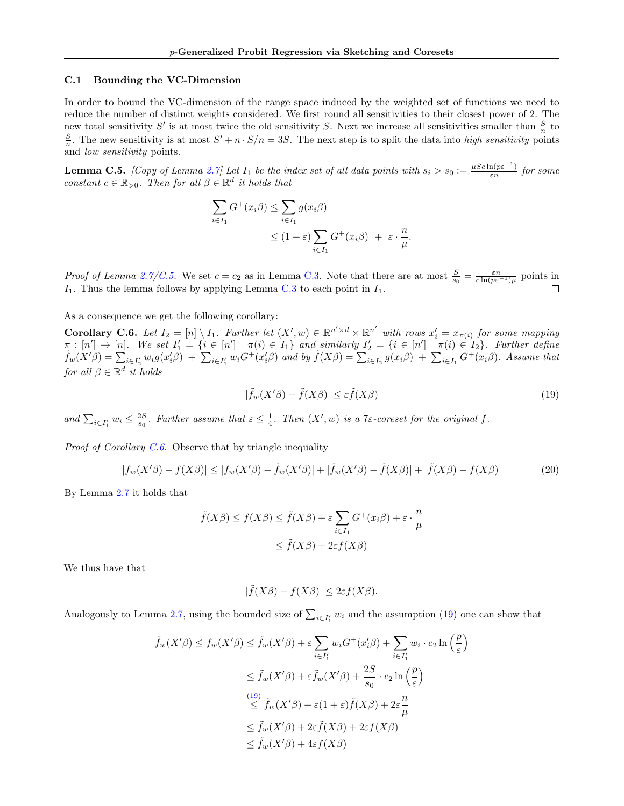#### <span id="page-17-1"></span>C.1 Bounding the VC-Dimension

In order to bound the VC-dimension of the range space induced by the weighted set of functions we need to reduce the number of distinct weights considered. We first round all sensitivities to their closest power of 2. The new total sensitivity S' is at most twice the old sensitivity S. Next we increase all sensitivities smaller than  $\frac{S}{n}$  to  $\frac{S}{n}$ . The new sensitivity is at most  $S' + n \cdot S/n = 3S$ . The next step is to split the data into *high sensitivity* points and low sensitivity points.

<span id="page-17-2"></span>**Lemma C.5.** [Copy of Lemma [2.7\]](#page-5-4) Let  $I_1$  be the index set of all data points with  $s_i > s_0 := \frac{\mu Sc \ln(p\varepsilon^{-1})}{\varepsilon n}$  $\frac{n(p\varepsilon)}{\varepsilon n}$  for some constant  $c \in \mathbb{R}_{>0}$ . Then for all  $\beta \in \mathbb{R}^d$  it holds that

$$
\sum_{i \in I_1} G^+(x_i \beta) \le \sum_{i \in I_1} g(x_i \beta)
$$
  
 
$$
\le (1 + \varepsilon) \sum_{i \in I_1} G^+(x_i \beta) + \varepsilon \cdot \frac{n}{\mu}.
$$

*Proof of Lemma [2.7/](#page-5-4)[C.5.](#page-17-2)* We set  $c = c_2$  as in Lemma [C.3.](#page-15-0) Note that there are at most  $\frac{S}{s_0} = \frac{\varepsilon n}{c \ln(p\varepsilon^{-1})\mu}$  points in  $I_1$ . Thus the lemma follows by applying Lemma [C.3](#page-15-0) to each point in  $I_1$ .  $\Box$ 

As a consequence we get the following corollary:

<span id="page-17-0"></span>Corollary C.6. Let  $I_2 = [n] \setminus I_1$ . Further let  $(X', w) \in \mathbb{R}^{n' \times d} \times \mathbb{R}^{n'}$  with rows  $x'_i = x_{\pi(i)}$  for some mapping  $\pi : [n'] \to [n].$  We set  $I'_1 = \{i \in [n'] \mid \pi(i) \in I_1\}$  and similarly  $I'_2 = \{i \in [n'] \mid \pi(i) \in I_2\}$ . Further define  $ilde{f}_w(X'\beta) = \sum_{i\in I'_2} w_i g(x'_i\beta) + \sum_{i\in I'_1} w_i G^+(x'_i\beta)$  and by  $\tilde{f}(X\beta) = \sum_{i\in I_2} g(x_i\beta) + \sum_{i\in I_1} G^+(x_i\beta)$ . Assume that for all  $\beta \in \mathbb{R}^d$  it holds

<span id="page-17-4"></span><span id="page-17-3"></span>
$$
|\tilde{f}_w(X'\beta) - \tilde{f}(X\beta)| \le \varepsilon \tilde{f}(X\beta)
$$
\n(19)

and  $\sum_{i\in I'_1} w_i \leq \frac{2S}{s_0}$ . Further assume that  $\varepsilon \leq \frac{1}{4}$ . Then  $(X', w)$  is a 7 $\varepsilon$ -coreset for the original f.

Proof of Corollary [C.6.](#page-17-0) Observe that by triangle inequality

$$
|f_w(X'\beta) - f(X\beta)| \le |f_w(X'\beta) - \tilde{f}_w(X'\beta)| + |\tilde{f}_w(X'\beta) - \tilde{f}(X\beta)| + |\tilde{f}(X\beta) - f(X\beta)| \tag{20}
$$

By Lemma [2.7](#page-5-4) it holds that

$$
\tilde{f}(X\beta) \le f(X\beta) \le \tilde{f}(X\beta) + \varepsilon \sum_{i \in I_1} G^+(x_i\beta) + \varepsilon \cdot \frac{n}{\mu}
$$

$$
\le \tilde{f}(X\beta) + 2\varepsilon f(X\beta)
$$

We thus have that

$$
|\tilde{f}(X\beta) - f(X\beta)| \le 2\varepsilon f(X\beta).
$$

Analogously to Lemma [2.7,](#page-5-4) using the bounded size of  $\sum_{i\in I'_1} w_i$  and the assumption [\(19\)](#page-17-3) one can show that

$$
\tilde{f}_w(X'\beta) \le f_w(X'\beta) \le \tilde{f}_w(X'\beta) + \varepsilon \sum_{i \in I'_1} w_i G^+(x'_i \beta) + \sum_{i \in I'_1} w_i \cdot c_2 \ln\left(\frac{p}{\varepsilon}\right)
$$
\n
$$
\le \tilde{f}_w(X'\beta) + \varepsilon \tilde{f}_w(X'\beta) + \frac{2S}{s_0} \cdot c_2 \ln\left(\frac{p}{\varepsilon}\right)
$$
\n
$$
\stackrel{(19)}{\le} \tilde{f}_w(X'\beta) + \varepsilon (1 + \varepsilon) \tilde{f}(X\beta) + 2\varepsilon \frac{n}{\mu}
$$
\n
$$
\le \tilde{f}_w(X'\beta) + 2\varepsilon \tilde{f}(X\beta) + 2\varepsilon f(X\beta)
$$
\n
$$
\le \tilde{f}_w(X'\beta) + 4\varepsilon f(X\beta)
$$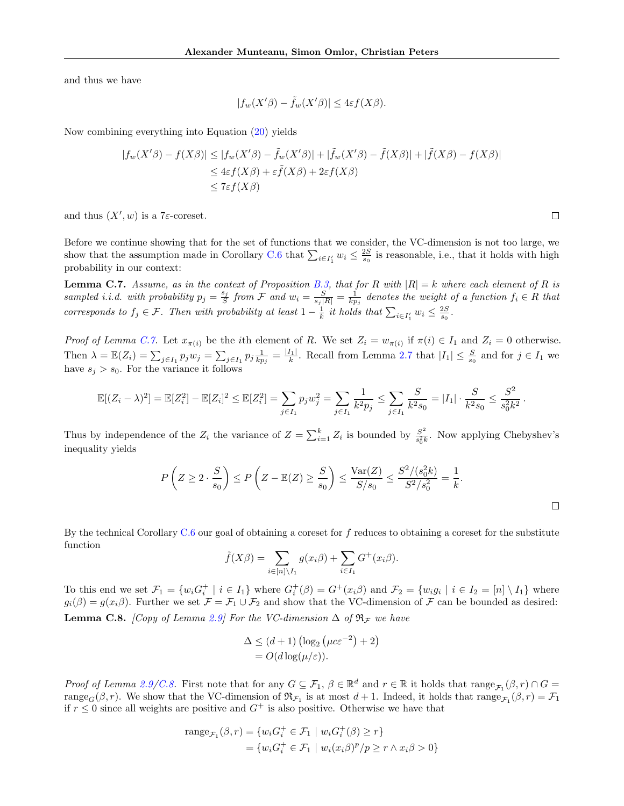and thus we have

$$
|f_w(X'\beta) - \tilde{f}_w(X'\beta)| \le 4\varepsilon f(X\beta).
$$

Now combining everything into Equation [\(20\)](#page-17-4) yields

$$
|f_w(X'\beta) - f(X\beta)| \le |f_w(X'\beta) - \tilde{f}_w(X'\beta)| + |\tilde{f}_w(X'\beta) - \tilde{f}(X\beta)| + |\tilde{f}(X\beta) - f(X\beta)|
$$
  
\n
$$
\le 4\varepsilon f(X\beta) + \varepsilon \tilde{f}(X\beta) + 2\varepsilon f(X\beta)
$$
  
\n
$$
\le 7\varepsilon f(X\beta)
$$

and thus  $(X', w)$  is a 7 $\varepsilon$ -coreset.

Before we continue showing that for the set of functions that we consider, the VC-dimension is not too large, we show that the assumption made in Corollary [C.6](#page-17-0) that  $\sum_{i\in I'_1} w_i \leq \frac{2S}{s_0}$  is reasonable, i.e., that it holds with high probability in our context:

<span id="page-18-0"></span>**Lemma C.7.** Assume, as in the context of Proposition [B.3,](#page-12-0) that for R with  $|R| = k$  where each element of R is sampled i.i.d. with probability  $p_j = \frac{s_j}{S}$  from F and  $w_i = \frac{S}{s_j|R|} = \frac{1}{kp_j}$  denotes the weight of a function  $f_i \in R$  that corresponds to  $f_j \in \mathcal{F}$ . Then with probability at least  $1 - \frac{1}{k}$  it holds that  $\sum_{i \in I'_1} w_i \leq \frac{2S}{s_0}$ .

*Proof of Lemma [C.7.](#page-18-0)* Let  $x_{\pi(i)}$  be the *i*th element of R. We set  $Z_i = w_{\pi(i)}$  if  $\pi(i) \in I_1$  and  $Z_i = 0$  otherwise. Then  $\lambda = \mathbb{E}(Z_i) = \sum_{j \in I_1} p_j w_j = \sum_{j \in I_1} p_j \frac{1}{kp_j} = \frac{|I_1|}{k}$ . Recall from Lemma [2.7](#page-5-4) that  $|I_1| \leq \frac{S}{s_0}$  and for  $j \in I_1$  we have  $s_j > s_0$ . For the variance it follows

$$
\mathbb{E}[(Z_i - \lambda)^2] = \mathbb{E}[Z_i^2] - \mathbb{E}[Z_i]^2 \le \mathbb{E}[Z_i^2] = \sum_{j \in I_1} p_j w_j^2 = \sum_{j \in I_1} \frac{1}{k^2 p_j} \le \sum_{j \in I_1} \frac{S}{k^2 s_0} = |I_1| \cdot \frac{S}{k^2 s_0} \le \frac{S^2}{s_0^2 k^2}.
$$

Thus by independence of the  $Z_i$  the variance of  $Z = \sum_{i=1}^k Z_i$  is bounded by  $\frac{S^2}{s_0^2}$  $\frac{S^2}{s_0^2 k}$ . Now applying Chebyshev's inequality yields

$$
P\left(Z \ge 2 \cdot \frac{S}{s_0}\right) \le P\left(Z - \mathbb{E}(Z) \ge \frac{S}{s_0}\right) \le \frac{\text{Var}(Z)}{S/s_0} \le \frac{S^2/(s_0^2 k)}{S^2/s_0^2} = \frac{1}{k}.
$$

By the technical Corollary  $C.6$  our goal of obtaining a coreset for f reduces to obtaining a coreset for the substitute function

$$
\tilde{f}(X\beta) = \sum_{i \in [n] \setminus I_1} g(x_i\beta) + \sum_{i \in I_1} G^+(x_i\beta).
$$

<span id="page-18-1"></span>To this end we set  $\mathcal{F}_1 = \{w_i G_i^+ | i \in I_1\}$  where  $G_i^+(\beta) = G^+(x_i\beta)$  and  $\mathcal{F}_2 = \{w_i g_i | i \in I_2 = [n] \setminus I_1\}$  where  $g_i(\beta) = g(x_i\beta)$ . Further we set  $\mathcal{F} = \mathcal{F}_1 \cup \mathcal{F}_2$  and show that the VC-dimension of  $\mathcal{F}$  can be bounded as desired: **Lemma C.8.** [Copy of Lemma [2.9\]](#page-5-2) For the VC-dimension  $\Delta$  of  $\mathfrak{R}_{\mathcal{F}}$  we have

$$
\Delta \le (d+1) \left( \log_2 \left( \mu c \varepsilon^{-2} \right) + 2 \right) = O(d \log(\mu/\varepsilon)).
$$

Proof of Lemma [2.9/](#page-5-2)[C.8.](#page-18-1) First note that for any  $G \subseteq \mathcal{F}_1$ ,  $\beta \in \mathbb{R}^d$  and  $r \in \mathbb{R}$  it holds that  $\text{range}_{\mathcal{F}_1}(\beta, r) \cap G =$ range<sub>G</sub>( $\beta$ , r). We show that the VC-dimension of  $\mathfrak{R}_{\mathcal{F}_1}$  is at most  $d+1$ . Indeed, it holds that range<sub> $\mathcal{F}_1(\beta, r) = \mathcal{F}_1$ </sub> if  $r \leq 0$  since all weights are positive and  $G^+$  is also positive. Otherwise we have that

range<sub>\mathcal{F}\_1</sub>(
$$
\beta, r
$$
) = { $w_i G_i^+ \in \mathcal{F}_1 | w_i G_i^+(\beta) \ge r$ }  
 = { $w_i G_i^+ \in \mathcal{F}_1 | w_i (x_i \beta)^p / p \ge r \land x_i \beta > 0$ }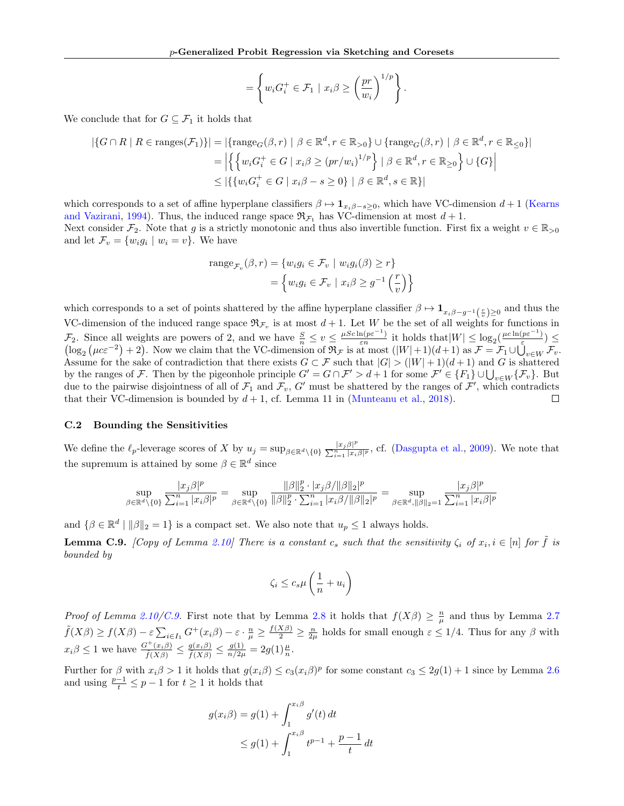$$
= \left\{ w_i G_i^+ \in \mathcal{F}_1 \mid x_i \beta \ge \left(\frac{pr}{w_i}\right)^{1/p} \right\}.
$$

We conclude that for  $G \subseteq \mathcal{F}_1$  it holds that

$$
|\{G \cap R \mid R \in \text{ranges}(\mathcal{F}_1)\}| = |\{\text{range}_G(\beta, r) \mid \beta \in \mathbb{R}^d, r \in \mathbb{R}_{>0}\} \cup \{\text{range}_G(\beta, r) \mid \beta \in \mathbb{R}^d, r \in \mathbb{R}_{\leq 0}\}|
$$

$$
= \left| \left\{ \left\{ w_i G_i^+ \in G \mid x_i \beta \ge (pr/w_i)^{1/p} \right\} \mid \beta \in \mathbb{R}^d, r \in \mathbb{R}_{\geq 0} \right\} \cup \{G\} \right|
$$

$$
\leq |\{\{w_i G_i^+ \in G \mid x_i \beta - s \geq 0\} \mid \beta \in \mathbb{R}^d, s \in \mathbb{R}\}|
$$

which corresponds to a set of affine hyperplane classifiers  $\beta \mapsto 1_{x_i\beta-s\geq 0}$ , which have VC-dimension  $d+1$  [\(Kearns](#page-10-23) [and Vazirani,](#page-10-23) [1994\)](#page-10-23). Thus, the induced range space  $\mathfrak{R}_{\mathcal{F}_1}$  has VC-dimension at most  $d+1$ . Next consider  $\mathcal{F}_2$ . Note that g is a strictly monotonic and thus also invertible function. First fix a weight  $v \in \mathbb{R}_{>0}$ 

and let  $\mathcal{F}_v = \{w_i g_i \mid w_i = v\}$ . We have

range<sub>$$
\mathcal{F}_v
$$</sub>( $\beta, r$ ) = { $w_i g_i \in \mathcal{F}_v$  |  $w_i g_i(\beta) \geq r$ }  
 = { $w_i g_i \in \mathcal{F}_v$  |  $x_i \beta \geq g^{-1} \left(\frac{r}{v}\right)$ }

which corresponds to a set of points shattered by the affine hyperplane classifier  $\beta \mapsto 1_{x_i\beta-g^{-1}\left(\frac{r}{v}\right)\geq 0}$  and thus the VC-dimension of the induced range space  $\mathfrak{R}_{\mathcal{F}_v}$  is at most  $d+1$ . Let W be the set of all weights for functions in  $\mathcal{F}_2$ . Since all weights are powers of 2, and we have  $\frac{S}{n} \leq v \leq \frac{\mu Sc\ln(p\varepsilon^{-1})}{\varepsilon n}$  $\frac{\ln(p\varepsilon^{-1})}{\varepsilon n}$  it holds that  $|W| \leq \log_2(\frac{\mu c \ln(p\varepsilon^{-1})}{\varepsilon})$  $\mathcal{F}_2$ . Since all weights are powers of 2, and we have  $\frac{S}{n} \le v \le \frac{\mu \varepsilon c \ln(p\varepsilon)}{\varepsilon n}$  it holds that  $|W| \le \log_2(\frac{\mu \varepsilon c \ln(p\varepsilon)}{\varepsilon}) \le (\log_2(\mu c\varepsilon^{-2}) + 2)$ . Now we claim that the VC-dimension of  $\Re_{\mathcal{F}}$  is at mos Assume for the sake of contradiction that there exists  $G \subset \mathcal{F}$  such that  $|G| > (|W| + 1)(d + 1)$  and G is shattered by the ranges of F. Then by the pigeonhole principle  $G' = G \cap \mathcal{F}' > d+1$  for some  $\mathcal{F}' \in \{F_1\} \cup \bigcup_{v \in W} \{\mathcal{F}_v\}$ . But due to the pairwise disjointness of all of  $\mathcal{F}_1$  and  $\mathcal{F}_v$ , G' must be shattered by the ranges of  $\mathcal{F}'$ , which contradicts that their VC-dimension is bounded by  $d+1$ , cf. Lemma 11 in [\(Munteanu et al.,](#page-10-6) [2018\)](#page-10-6).  $\Box$ 

#### <span id="page-19-0"></span>C.2 Bounding the Sensitivities

We define the  $\ell_p$ -leverage scores of X by  $u_j = \sup_{\beta \in \mathbb{R}^d \setminus \{0\}} \frac{|x_j \beta|^p}{\sum_{i=1}^n |x_i|}$  $\frac{|x_j\rangle|^2}{\sum_{i=1}^n |x_i\beta|^p}$ , cf. [\(Dasgupta et al.,](#page-9-10) [2009\)](#page-9-10). We note that the supremum is attained by some  $\beta \in \mathbb{R}^d$  since

$$
\sup_{\beta \in \mathbb{R}^d \backslash \{0\}} \frac{|x_j \beta|^p}{\sum_{i=1}^n |x_i \beta|^p} = \sup_{\beta \in \mathbb{R}^d \backslash \{0\}} \frac{\|\beta\|_2^p \cdot |x_j \beta/\|\beta\|_2|^p}{\|\beta\|_2^p \cdot \sum_{i=1}^n |x_i \beta/\|\beta\|_2|^p} = \sup_{\beta \in \mathbb{R}^d, \|\beta\|_2 = 1} \frac{|x_j \beta|^p}{\sum_{i=1}^n |x_i \beta|^p}
$$

and  $\{\beta \in \mathbb{R}^d \mid ||\beta||_2 = 1\}$  is a compact set. We also note that  $u_p \leq 1$  always holds.

<span id="page-19-1"></span>**Lemma C.9.** [Copy of Lemma [2.10\]](#page-5-1) There is a constant  $c_s$  such that the sensitivity  $\zeta_i$  of  $x_i, i \in [n]$  for  $\tilde{f}$  is bounded by

$$
\zeta_i \le c_s \mu \left(\frac{1}{n} + u_i\right)
$$

*Proof of Lemma [2.10](#page-5-1)[/C.9.](#page-19-1)* First note that by Lemma [2.8](#page-5-3) it holds that  $f(X\beta) \geq \frac{n}{\mu}$  and thus by Lemma [2.7](#page-5-4)  $\tilde{f}(X\beta) \ge f(X\beta) - \varepsilon \sum_{i \in I_1} G^+(x_i\beta) - \varepsilon \cdot \frac{n}{\mu} \ge \frac{f(X\beta)}{2} \ge \frac{n}{2\mu}$  holds for small enough  $\varepsilon \le 1/4$ . Thus for any  $\beta$  with  $x_i\beta \leq 1$  we have  $\frac{G^+(x_i\beta)}{\tilde{f}(X\beta)} \leq \frac{g(x_i\beta)}{\tilde{f}(X\beta)} \leq \frac{g(1)}{n/2\beta}$  $\frac{g(1)}{n/2\mu} = 2g(1)\frac{\mu}{n}.$ 

Further for  $\beta$  with  $x_i\beta > 1$  it holds that  $g(x_i\beta) \le c_3(x_i\beta)^p$  for some constant  $c_3 \le 2g(1) + 1$  since by Lemma [2.6](#page-4-0) and using  $\frac{p-1}{t} \leq p-1$  for  $t \geq 1$  it holds that

$$
g(x_i \beta) = g(1) + \int_1^{x_i \beta} g'(t) dt
$$
  
\n
$$
\leq g(1) + \int_1^{x_i \beta} t^{p-1} + \frac{p-1}{t} dt
$$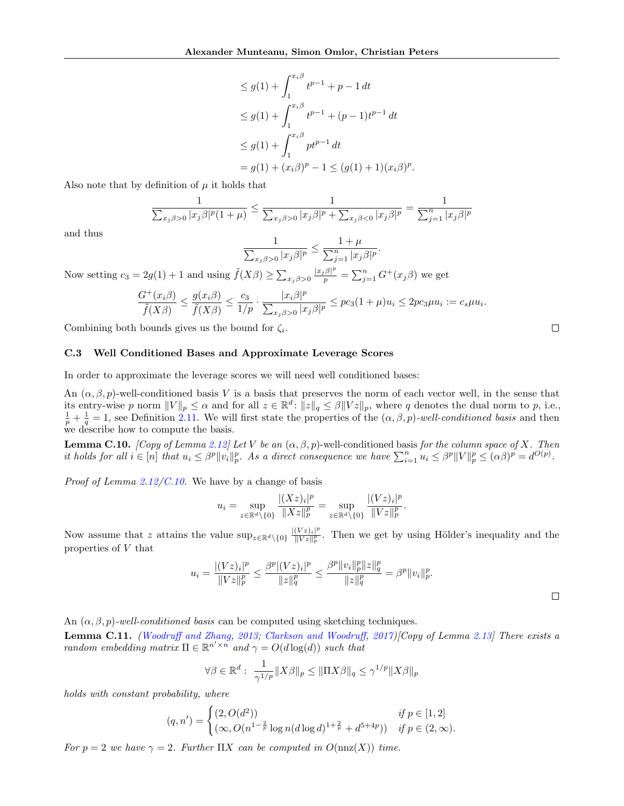$$
\leq g(1) + \int_{1}^{x_{i}\beta} t^{p-1} + p - 1 dt
$$
  
\n
$$
\leq g(1) + \int_{1}^{x_{i}\beta} t^{p-1} + (p - 1)t^{p-1} dt
$$
  
\n
$$
\leq g(1) + \int_{1}^{x_{i}\beta} pt^{p-1} dt
$$
  
\n
$$
= g(1) + (x_{i}\beta)^{p} - 1 \leq (g(1) + 1)(x_{i}\beta)
$$

p .

Also note that by definition of  $\mu$  it holds that

$$
\frac{1}{\sum_{x_j\beta>0} |x_j\beta|^p (1+\mu)} \le \frac{1}{\sum_{x_j\beta>0} |x_j\beta|^p + \sum_{x_j\beta<0} |x_j\beta|^p} = \frac{1}{\sum_{j=1}^n |x_j\beta|^p}
$$

and thus

$$
\frac{1}{\sum_{x_j\beta>0}|x_j\beta|^p} \le \frac{1+\mu}{\sum_{j=1}^n|x_j\beta|^p}.
$$

Now setting  $c_3 = 2g(1) + 1$  and using  $\tilde{f}(X\beta) \ge \sum_{x_j\beta>0}$  $\frac{|x_j \beta|^p}{p} = \sum_{j=1}^n G^+(x_j \beta)$  we get

$$
\frac{G^+(x_i\beta)}{\tilde{f}(X\beta)} \le \frac{g(x_i\beta)}{\tilde{f}(X\beta)} \le \frac{c_3}{1/p} \cdot \frac{|x_i\beta|^p}{\sum_{x_j\beta>0} |x_j\beta|^p} \le pc_3(1+\mu)u_i \le 2pc_3\mu u_i := c_s\mu u_i.
$$

Combining both bounds gives us the bound for  $\zeta_i$ .

#### C.3 Well Conditioned Bases and Approximate Leverage Scores

In order to approximate the leverage scores we will need well conditioned bases:

An  $(\alpha, \beta, p)$ -well-conditioned basis V is a basis that preserves the norm of each vector well, in the sense that its entry-wise p norm  $||V||_p \le \alpha$  and for all  $z \in \mathbb{R}^d$ :  $||z||_q \le \beta ||Vz||_p$ , where q denotes the dual norm to p, i.e.,  $\frac{1}{p} + \frac{1}{q} = 1$ , see Definition [2.11.](#page-5-5) We will first state the properties of the  $(\alpha, \beta, p)$ -wel we describe how to compute the basis.

<span id="page-20-0"></span>**Lemma C.10.** [Copy of Lemma [2.12\]](#page-5-0) Let V be an  $(\alpha, \beta, p)$ -well-conditioned basis for the column space of X. Then it holds for all  $i \in [n]$  that  $u_i \leq \beta^p ||v_i||_p^p$ . As a direct consequence we have  $\sum_{i=1}^n u_i \leq \beta^p ||V||_p^p \leq (\alpha \beta)^p = d^{O(p)}$ .

*Proof of Lemma [2.12](#page-5-0)[/C.10.](#page-20-0)* We have by a change of basis

$$
u_i = \sup_{z \in \mathbb{R}^d \setminus \{0\}} \frac{|(Xz)_i|^p}{\|Xz\|_p^p} = \sup_{z \in \mathbb{R}^d \setminus \{0\}} \frac{|(Vz)_i|^p}{\|Vz\|_p^p}.
$$

Now assume that z attains the value  $\sup_{z \in \mathbb{R}^d \setminus \{0\}} \frac{|(Vz)_i|^p}{||Vz||_p^p}$  $\frac{(V\bar{z})_i}{\|V\bar{z}\|_p^p}$ . Then we get by using Hölder's inequality and the properties of V that

$$
u_i = \frac{|(Vz)_i|^p}{\|Vz\|_p^p} \le \frac{\beta^p |(Vz)_i|^p}{\|z\|_q^p} \le \frac{\beta^p \|v_i\|_p^p \|z\|_q^p}{\|z\|_q^p} = \beta^p \|v_i\|_p^p.
$$

An  $(\alpha, \beta, p)$ -well-conditioned basis can be computed using sketching techniques.

Lemma C.11. [\(Woodruff and Zhang,](#page-10-15) [2013;](#page-10-15) [Clarkson and Woodruff,](#page-9-18) [2017\)](#page-9-18)[Copy of Lemma [2.13\]](#page-6-0) There exists a random embedding matrix  $\Pi \in \mathbb{R}^{n' \times n'}$  and  $\gamma = O(d \log(d))$  such that

$$
\forall \beta \in \mathbb{R}^d: \ \frac{1}{\gamma^{1/p}} \|X\beta\|_p \le \|\Pi X\beta\|_q \le \gamma^{1/p} \|X\beta\|_p
$$

holds with constant probability, where

$$
(q, n') = \begin{cases} (2, O(d^2)) & \text{if } p \in [1, 2] \\ (\infty, O(n^{1 - \frac{2}{p}} \log n (d \log d)^{1 + \frac{2}{p}} + d^{5 + 4p})) & \text{if } p \in (2, \infty). \end{cases}
$$

For  $p = 2$  we have  $\gamma = 2$ . Further  $\Pi X$  can be computed in  $O(\text{nnz}(X))$  time.

 $\Box$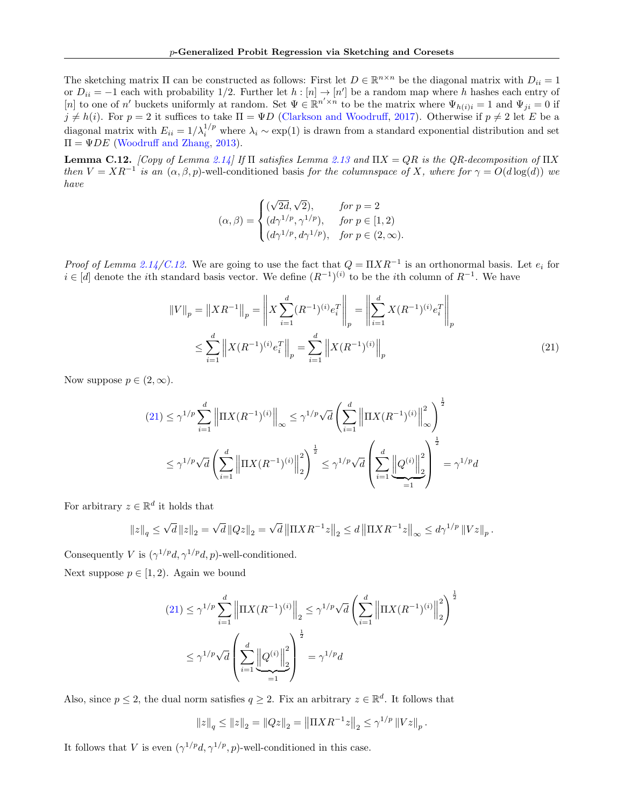The sketching matrix  $\Pi$  can be constructed as follows: First let  $D \in \mathbb{R}^{n \times n}$  be the diagonal matrix with  $D_{ii} = 1$ or  $D_{ii} = -1$  each with probability 1/2. Further let  $h : [n] \to [n']$  be a random map where h hashes each entry of [n] to one of n' buckets uniformly at random. Set  $\Psi \in \mathbb{R}^{n' \times n}$  to be the matrix where  $\Psi_{h(i)i} = 1$  and  $\Psi_{ji} = 0$  if  $j \neq h(i)$ . For  $p = 2$  it suffices to take  $\Pi = \Psi D$  [\(Clarkson and Woodruff,](#page-9-18) [2017\)](#page-9-18). Otherwise if  $p \neq 2$  let E be a diagonal matrix with  $E_{ii} = 1/\lambda_i^{1/p}$  where  $\lambda_i \sim \exp(1)$  is drawn from a standard exponential distribution and set  $\Pi = \Psi DE$  [\(Woodruff and Zhang,](#page-10-15) [2013\)](#page-10-15).

<span id="page-21-0"></span>**Lemma C.12.** [Copy of Lemma [2.14\]](#page-6-1) If  $\Pi$  satisfies Lemma [2.13](#page-6-0) and  $\Pi X = QR$  is the QR-decomposition of  $\Pi X$ then  $V = XR^{-1}$  is an  $(\alpha, \beta, p)$ -well-conditioned basis for the columnspace of X, where for  $\gamma = O(d \log(d))$  we have

<span id="page-21-1"></span>
$$
(\alpha, \beta) = \begin{cases} (\sqrt{2d}, \sqrt{2}), & \text{for } p = 2\\ (d\gamma^{1/p}, \gamma^{1/p}), & \text{for } p \in [1, 2) \\ (d\gamma^{1/p}, d\gamma^{1/p}), & \text{for } p \in (2, \infty). \end{cases}
$$

*Proof of Lemma [2.14](#page-6-1)[/C.12.](#page-21-0)* We are going to use the fact that  $Q = \Pi X R^{-1}$  is an orthonormal basis. Let  $e_i$  for  $i \in [d]$  denote the *i*th standard basis vector. We define  $(R^{-1})^{(i)}$  to be the *i*th column of  $R^{-1}$ . We have

$$
||V||_p = ||XR^{-1}||_p = \left||X\sum_{i=1}^d (R^{-1})^{(i)} e_i^T\right||_p = \left||\sum_{i=1}^d X(R^{-1})^{(i)} e_i^T\right||_p
$$
  

$$
\leq \sum_{i=1}^d \left||X(R^{-1})^{(i)} e_i^T\right||_p = \sum_{i=1}^d \left||X(R^{-1})^{(i)}\right||_p
$$
 (21)

Now suppose  $p \in (2, \infty)$ .

$$
(21) \le \gamma^{1/p} \sum_{i=1}^d \left\| \Pi X(R^{-1})^{(i)} \right\|_{\infty} \le \gamma^{1/p} \sqrt{d} \left( \sum_{i=1}^d \left\| \Pi X(R^{-1})^{(i)} \right\|_{\infty}^2 \right)^{\frac{1}{2}}
$$
  

$$
\le \gamma^{1/p} \sqrt{d} \left( \sum_{i=1}^d \left\| \Pi X(R^{-1})^{(i)} \right\|_{2}^2 \right)^{\frac{1}{2}} \le \gamma^{1/p} \sqrt{d} \left( \sum_{i=1}^d \left\| Q^{(i)} \right\|_{2}^2 \right)^{\frac{1}{2}} = \gamma^{1/p} d
$$

For arbitrary  $z \in \mathbb{R}^d$  it holds that

$$
||z||_q \le \sqrt{d} ||z||_2 = \sqrt{d} ||Qz||_2 = \sqrt{d} ||\Pi X R^{-1} z||_2 \le d ||\Pi X R^{-1} z||_{\infty} \le d\gamma^{1/p} ||Vz||_p.
$$

Consequently V is  $(\gamma^{1/p}d, \gamma^{1/p}d, p)$ -well-conditioned. Next suppose  $p \in [1, 2)$ . Again we bound

$$
(21) \le \gamma^{1/p} \sum_{i=1}^d \left\| \Pi X(R^{-1})^{(i)} \right\|_2 \le \gamma^{1/p} \sqrt{d} \left( \sum_{i=1}^d \left\| \Pi X(R^{-1})^{(i)} \right\|_2^2 \right)^{\frac{1}{2}}
$$

$$
\le \gamma^{1/p} \sqrt{d} \left( \sum_{i=1}^d \underbrace{\left\| Q^{(i)} \right\|_2^2}_{=1} \right)^{\frac{1}{2}} = \gamma^{1/p} d
$$

Also, since  $p \leq 2$ , the dual norm satisfies  $q \geq 2$ . Fix an arbitrary  $z \in \mathbb{R}^d$ . It follows that

$$
||z||_q \le ||z||_2 = ||Qz||_2 = ||\Pi X R^{-1} z||_2 \le \gamma^{1/p} ||Vz||_p.
$$

It follows that V is even  $(\gamma^{1/p}d, \gamma^{1/p}, p)$ -well-conditioned in this case.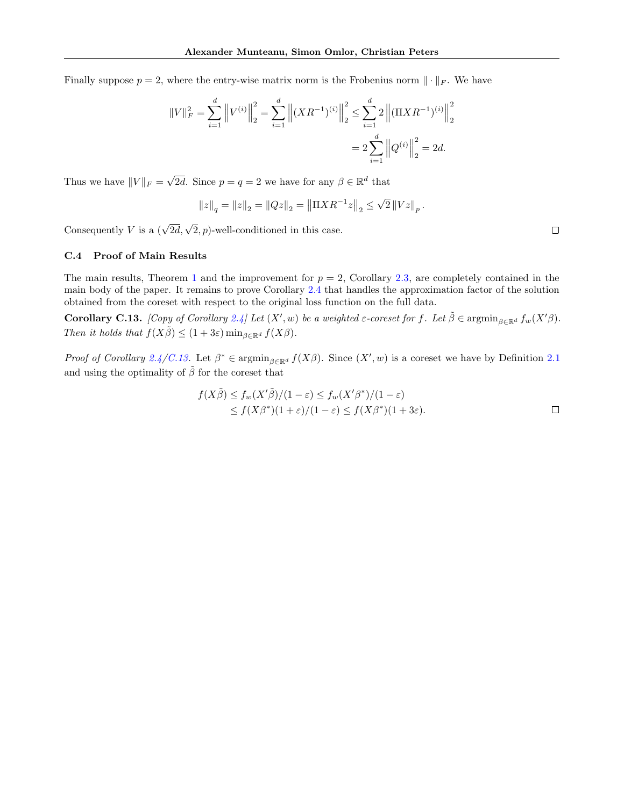Finally suppose  $p = 2$ , where the entry-wise matrix norm is the Frobenius norm  $\|\cdot\|_F$ . We have

$$
||V||_F^2 = \sum_{i=1}^d ||V^{(i)}||_2^2 = \sum_{i=1}^d ||(XR^{-1})^{(i)}||_2^2 \le \sum_{i=1}^d 2 ||(\Pi X R^{-1})^{(i)}||_2^2
$$
  
= 
$$
2 \sum_{i=1}^d ||Q^{(i)}||_2^2 = 2d.
$$

Thus we have  $||V||_F = \sqrt{2d}$ . Since  $p = q = 2$  we have for any  $\beta \in \mathbb{R}^d$  that

$$
\left\|z\right\|_q=\left\|z\right\|_2=\left\|Qz\right\|_2=\left\|\Pi X R^{-1}z\right\|_2\leq \sqrt{2}\left\|Vz\right\|_p
$$

Consequently V is a  $(\sqrt{2d}, \sqrt{2}, p)$ -well-conditioned in this case.

#### C.4 Proof of Main Results

The main results, Theorem [1](#page-3-2) and the improvement for  $p = 2$ , Corollary [2.3,](#page-3-3) are completely contained in the main body of the paper. It remains to prove Corollary [2.4](#page-3-5) that handles the approximation factor of the solution obtained from the coreset with respect to the original loss function on the full data.

<span id="page-22-0"></span>**Corollary C.13.** [Copy of Corollary [2.4\]](#page-3-5) Let  $(X', w)$  be a weighted  $\varepsilon$ -coreset for f. Let  $\tilde{\beta} \in \operatorname{argmin}_{\beta \in \mathbb{R}^d} f_w(X' \beta)$ . Then it holds that  $f(X\tilde{\beta}) \leq (1+3\varepsilon) \min_{\beta \in \mathbb{R}^d} f(X\beta)$ .

Proof of Corollary [2.4/](#page-3-5)[C.13.](#page-22-0) Let  $\beta^* \in \operatorname{argmin}_{\beta \in \mathbb{R}^d} f(X\beta)$ . Since  $(X', w)$  is a coreset we have by Definition [2.1](#page-3-6) and using the optimality of  $\tilde{\beta}$  for the coreset that

$$
f(X\tilde{\beta}) \le f_w(X'\tilde{\beta})/(1-\varepsilon) \le f_w(X'\beta^*)/(1-\varepsilon)
$$
  
 
$$
\le f(X\beta^*)(1+\varepsilon)/(1-\varepsilon) \le f(X\beta^*)(1+3\varepsilon).
$$

.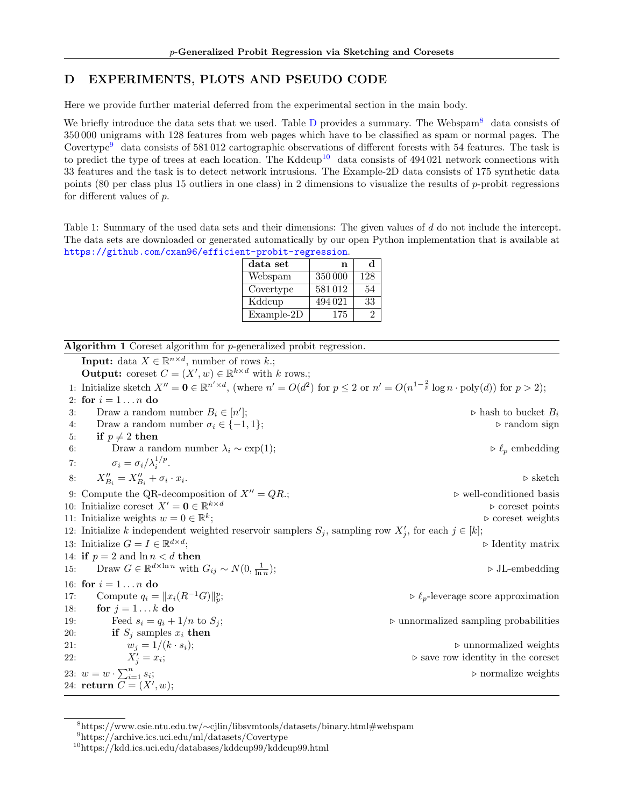## <span id="page-23-1"></span>D EXPERIMENTS, PLOTS AND PSEUDO CODE

Here we provide further material deferred from the experimental section in the main body.

We briefly introduce the data sets that we used. Table [D](#page-23-1) provides a summary. The Webspam<sup>[8](#page-23-2)</sup> data consists of 350 000 unigrams with 128 features from web pages which have to be classified as spam or normal pages. The Covertype<sup>[9](#page-23-3)</sup> data consists of 581 012 cartographic observations of different forests with 54 features. The task is to predict the type of trees at each location. The Kddcup<sup>[10](#page-23-4)</sup> data consists of  $494\,021$  network connections with 33 features and the task is to detect network intrusions. The Example-2D data consists of 175 synthetic data points (80 per class plus 15 outliers in one class) in 2 dimensions to visualize the results of p-probit regressions for different values of p.

Table 1: Summary of the used data sets and their dimensions: The given values of d do not include the intercept. The data sets are downloaded or generated automatically by our open Python implementation that is available at <https://github.com/cxan96/efficient-probit-regression>.

| data set   | n      | d   |
|------------|--------|-----|
| Webspam    | 350000 | 128 |
| Covertype  | 581012 | 54  |
| Kddcup     | 494021 | 33  |
| Example-2D | 175    |     |

Algorithm 1 Coreset algorithm for *p*-generalized probit regression.

<span id="page-23-0"></span>**Input:** data  $X \in \mathbb{R}^{n \times d}$ , number of rows k.; **Output:** coreset  $C = (X', w) \in \mathbb{R}^{k \times d}$  with k rows.; 1: Initialize sketch  $X'' = \mathbf{0} \in \mathbb{R}^{n' \times d}$ , (where  $n' = O(d^2)$  for  $p \le 2$  or  $n' = O(n^{1-\frac{2}{p}} \log n \cdot \text{poly}(d))$  for  $p > 2$ ); 2: for  $i = 1 \ldots n$  do 3: Draw a random number  $B_i \in [n]$  $\triangleright$  hash to bucket  $B_i$ 4: Draw a random number  $\sigma_i \in \{-1, 1\};$   $\triangleright$  random sign  $\sigma_i$   $\preceq$  **f**  $p \neq 2$  **then** 5: **if**  $p \neq 2$  **then**<br>6: Draw a rai Draw a random number  $\lambda_i \sim \exp(1)$ ; .  $\Box$   $\Box$  embedding 7:  $\sigma_i = \sigma_i / \lambda_i^{1/p}$ . 8:  $X''_{B_i} = X''_{B_i} + \sigma_i \cdot x_i$ . The sketch is the sketch of the sketch in the sketch is sketch in the sketch in the sketch in the sketch in the sketch in the sketch in the sketch in the sketch in the sketch in the sketch in the sketch in the sketch in 9: Compute the QR-decomposition of  $X'' = QR$ ;  $\triangleright$  well-conditioned basis 10: Initialize coreset  $X' = \mathbf{0} \in \mathbb{R}^{k \times d}$  $\triangleright$  coreset points 11: Initialize weights  $w = 0 \in \mathbb{R}^k$  $\triangleright$  coreset weights 12: Initialize k independent weighted reservoir samplers  $S_j$ , sampling row  $X'_j$ , for each  $j \in [k]$ ; 13: Initialize  $G = I \in \mathbb{R}^{d \times d}$  $\triangleright$  Identity matrix 14: if  $p = 2$  and  $\ln n < d$  then 15: Draw  $G \in \mathbb{R}^{d \times \ln n}$  with  $G_{ij} \sim N(0, \frac{1}{\ln n})$  $\triangleright$  JL-embedding 16: for  $i = 1...n$  do 17: Compute  $q_i = ||x_i(R^{-1}G)||_p^p$  $\triangleright \ell_p$ -leverage score approximation 18: for  $j = 1...k$  do 19: Feed  $s_i = q_i + 1/n$  to  $S_j$ ;  $\Box$   $\Box$  unnormalized sampling probabilities 20: if  $S_i$  samples  $x_i$  then 21:  $w_j = 1/(k \cdot s_i);$  b save row identity in the coreset  $X' = x_i$ : 22:  $X'_{j} = x_{i}$  $\triangleright$  save row identity in the coreset 23:  $w = w \cdot \sum_{i=1}^{n} s_i$  $\triangleright$  normalize weights 24: **return**  $C = (X', w);$ 

<span id="page-23-2"></span><sup>8</sup>https://www.csie.ntu.edu.tw/∼cjlin/libsvmtools/datasets/binary.html#webspam

<span id="page-23-3"></span><sup>9</sup>https://archive.ics.uci.edu/ml/datasets/Covertype

<span id="page-23-4"></span><sup>10</sup>https://kdd.ics.uci.edu/databases/kddcup99/kddcup99.html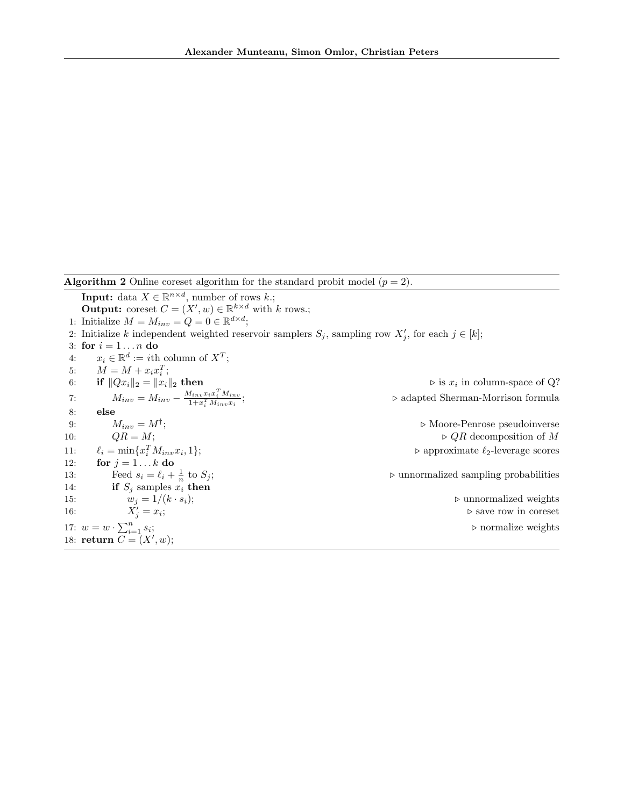Algorithm 2 Online coreset algorithm for the standard probit model  $(p = 2)$ .

<span id="page-24-0"></span>**Input:** data  $X \in \mathbb{R}^{n \times d}$ , number of rows k.; **Output:** coreset  $C = (X', w) \in \mathbb{R}^{k \times d}$  with k rows.; 1: Initialize  $M = M_{inv} = Q = 0 \in \mathbb{R}^{d \times d}$ ; 2: Initialize k independent weighted reservoir samplers  $S_j$ , sampling row  $X'_j$ , for each  $j \in [k]$ ; 3: for  $i = 1 \ldots n$  do 4:  $x_i \in \mathbb{R}^d := i \text{th column of } X^T;$ 5:  $M = M + x_i x_i^T;$ 6: if  $||Qx_i||_2 = ||x_i||_2$  then  $\triangleright$  is  $x_i$  in column-space of Q? 7:  $M_{inv} = M_{inv} - \frac{M_{inv} x_i x_i^T M_{inv}}{1 + x_i^T M_{inv} x_i}$  $\triangleright$  adapted Sherman-Morrison formula 8: else 9:  $M_{inv} = M^{\dagger};$ <br>0:  $QR = M;$ ; . Moore-Penrose pseudoinverse 10:  $QR = M;$   $QR = M;$ 11:  $\ell_i = \min\{x_i^T M_{inv} x_i\}$  $\rhd$  approximate  $\ell_2$ -leverage scores 12: **for**  $j = 1...k$  **do** 13: Feed  $s_i = \ell_i + \frac{1}{n}$  to  $S_j$ <br>14: **if**  $S_j$  samples  $x_i$  **then**  $\triangleright$  unnormalized sampling probabilities 15:  $w_j = 1/(k \cdot s_i);$  b unnormalized weights 16:  $X'_j = x_i$  $\triangleright$  save row in coreset 17:  $w = w \cdot \sum_{i=1}^{n} s_i$  $\triangleright$  normalize weights 18: **return**  $C = (X', w);$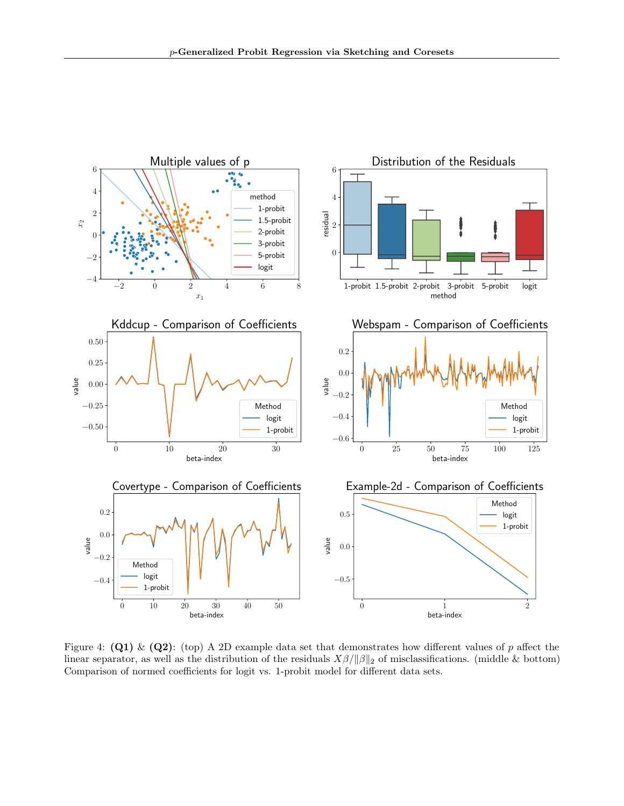

Figure 4: (Q1) & (Q2): (top) A 2D example data set that demonstrates how different values of p affect the linear separator, as well as the distribution of the residuals  $X\beta/\|\beta\|_2$  of misclassifications. (middle & bottom) Comparison of normed coefficients for logit vs. 1-probit model for different data sets.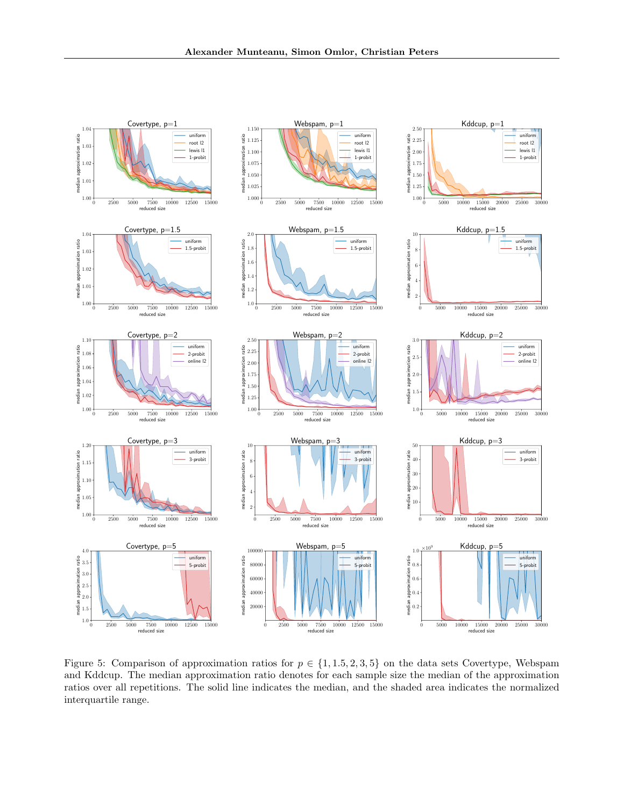

Figure 5: Comparison of approximation ratios for  $p \in \{1, 1.5, 2, 3, 5\}$  on the data sets Covertype, Webspam and Kddcup. The median approximation ratio denotes for each sample size the median of the approximation ratios over all repetitions. The solid line indicates the median, and the shaded area indicates the normalized interquartile range.